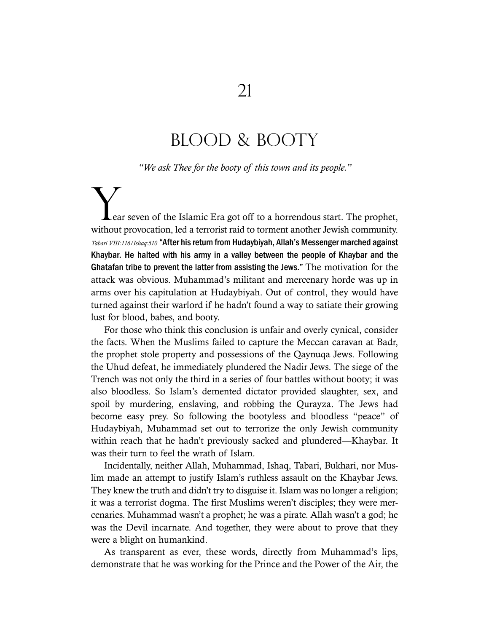## BLOOD & BOOTY

*"We ask Thee for the booty of this town and its people."*

ear seven of the Islamic Era got off to a horrendous start. The prophet, without provocation, led a terrorist raid to torment another Jewish community. *Tabari VIII:116/Ishaq:510* "After his return from Hudaybiyah, Allah's Messenger marched against Khaybar. He halted with his army in a valley between the people of Khaybar and the Ghatafan tribe to prevent the latter from assisting the Jews." The motivation for the attack was obvious. Muhammad's militant and mercenary horde was up in arms over his capitulation at Hudaybiyah. Out of control, they would have turned against their warlord if he hadn't found a way to satiate their growing lust for blood, babes, and booty.

For those who think this conclusion is unfair and overly cynical, consider the facts. When the Muslims failed to capture the Meccan caravan at Badr, the prophet stole property and possessions of the Qaynuqa Jews. Following the Uhud defeat, he immediately plundered the Nadir Jews. The siege of the Trench was not only the third in a series of four battles without booty; it was also bloodless. So Islam's demented dictator provided slaughter, sex, and spoil by murdering, enslaving, and robbing the Qurayza. The Jews had become easy prey. So following the bootyless and bloodless "peace" of Hudaybiyah, Muhammad set out to terrorize the only Jewish community within reach that he hadn't previously sacked and plundered—Khaybar. It was their turn to feel the wrath of Islam.

Incidentally, neither Allah, Muhammad, Ishaq, Tabari, Bukhari, nor Muslim made an attempt to justify Islam's ruthless assault on the Khaybar Jews. They knew the truth and didn't try to disguise it. Islam was no longer a religion; it was a terrorist dogma. The first Muslims weren't disciples; they were mercenaries. Muhammad wasn't a prophet; he was a pirate. Allah wasn't a god; he was the Devil incarnate. And together, they were about to prove that they were a blight on humankind.

As transparent as ever, these words, directly from Muhammad's lips, demonstrate that he was working for the Prince and the Power of the Air, the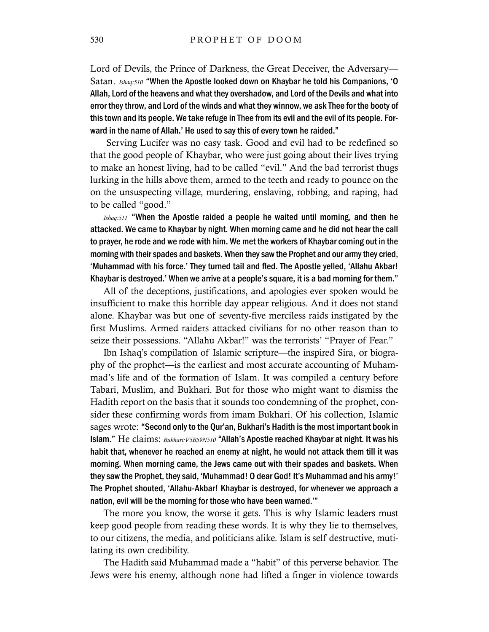Lord of Devils, the Prince of Darkness, the Great Deceiver, the Adversary— Satan. *Ishaq:510* "When the Apostle looked down on Khaybar he told his Companions, 'O Allah, Lord of the heavens and what they overshadow, and Lord of the Devils and what into error they throw, and Lord of the winds and what they winnow, we ask Thee for the booty of this town and its people. We take refuge in Thee from its evil and the evil of its people. Forward in the name of Allah.' He used to say this of every town he raided."

Serving Lucifer was no easy task. Good and evil had to be redefined so that the good people of Khaybar, who were just going about their lives trying to make an honest living, had to be called "evil." And the bad terrorist thugs lurking in the hills above them, armed to the teeth and ready to pounce on the on the unsuspecting village, murdering, enslaving, robbing, and raping, had to be called "good."

*Ishaq:511* "When the Apostle raided a people he waited until morning, and then he attacked. We came to Khaybar by night. When morning came and he did not hear the call to prayer, he rode and we rode with him. We met the workers of Khaybar coming out in the morning with their spades and baskets. When they saw the Prophet and our army they cried, 'Muhammad with his force.' They turned tail and fled. The Apostle yelled, 'Allahu Akbar! Khaybar is destroyed.' When we arrive at a people's square, it is a bad morning for them."

All of the deceptions, justifications, and apologies ever spoken would be insufficient to make this horrible day appear religious. And it does not stand alone. Khaybar was but one of seventy-five merciless raids instigated by the first Muslims. Armed raiders attacked civilians for no other reason than to seize their possessions. "Allahu Akbar!" was the terrorists' "Prayer of Fear."

Ibn Ishaq's compilation of Islamic scripture—the inspired Sira, or biography of the prophet—is the earliest and most accurate accounting of Muhammad's life and of the formation of Islam. It was compiled a century before Tabari, Muslim, and Bukhari. But for those who might want to dismiss the Hadith report on the basis that it sounds too condemning of the prophet, consider these confirming words from imam Bukhari. Of his collection, Islamic sages wrote: "Second only to the Qur'an, Bukhari's Hadith is the most important book in Islam." He claims: *Bukhari:V5B59N510* "Allah's Apostle reached Khaybar at night. It was his habit that, whenever he reached an enemy at night, he would not attack them till it was morning. When morning came, the Jews came out with their spades and baskets. When they saw the Prophet, they said, 'Muhammad! O dear God! It's Muhammad and his army!' The Prophet shouted, 'Allahu-Akbar! Khaybar is destroyed, for whenever we approach a nation, evil will be the morning for those who have been warned.'"

The more you know, the worse it gets. This is why Islamic leaders must keep good people from reading these words. It is why they lie to themselves, to our citizens, the media, and politicians alike. Islam is self destructive, mutilating its own credibility.

The Hadith said Muhammad made a "habit" of this perverse behavior. The Jews were his enemy, although none had lifted a finger in violence towards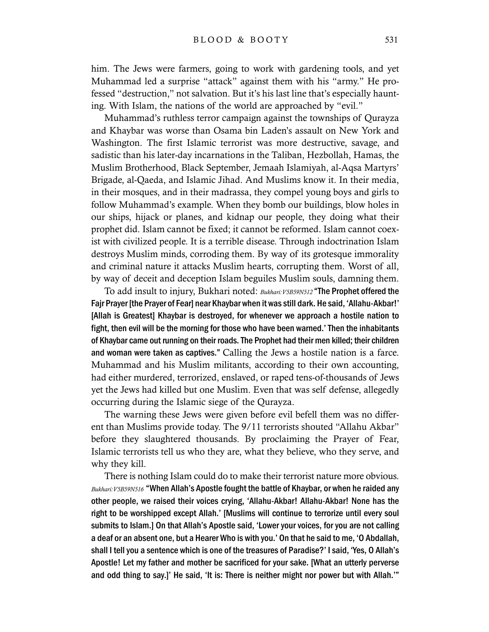him. The Jews were farmers, going to work with gardening tools, and yet Muhammad led a surprise "attack" against them with his "army." He professed "destruction," not salvation. But it's his last line that's especially haunting. With Islam, the nations of the world are approached by "evil."

Muhammad's ruthless terror campaign against the townships of Qurayza and Khaybar was worse than Osama bin Laden's assault on New York and Washington. The first Islamic terrorist was more destructive, savage, and sadistic than his later-day incarnations in the Taliban, Hezbollah, Hamas, the Muslim Brotherhood, Black September, Jemaah Islamiyah, al-Aqsa Martyrs' Brigade, al-Qaeda, and Islamic Jihad. And Muslims know it. In their media, in their mosques, and in their madrassa, they compel young boys and girls to follow Muhammad's example. When they bomb our buildings, blow holes in our ships, hijack or planes, and kidnap our people, they doing what their prophet did. Islam cannot be fixed; it cannot be reformed. Islam cannot coexist with civilized people. It is a terrible disease. Through indoctrination Islam destroys Muslim minds, corroding them. By way of its grotesque immorality and criminal nature it attacks Muslim hearts, corrupting them. Worst of all, by way of deceit and deception Islam beguiles Muslim souls, damning them.

To add insult to injury, Bukhari noted: *Bukhari:V5B59N512* "The Prophet offered the Fajr Prayer [the Prayer of Fear] near Khaybar when it was still dark. He said, 'Allahu-Akbar!' [Allah is Greatest] Khaybar is destroyed, for whenever we approach a hostile nation to fight, then evil will be the morning for those who have been warned.' Then the inhabitants of Khaybar came out running on their roads. The Prophet had their men killed; their children and woman were taken as captives." Calling the Jews a hostile nation is a farce. Muhammad and his Muslim militants, according to their own accounting, had either murdered, terrorized, enslaved, or raped tens-of-thousands of Jews yet the Jews had killed but one Muslim. Even that was self defense, allegedly occurring during the Islamic siege of the Qurayza.

The warning these Jews were given before evil befell them was no different than Muslims provide today. The 9/11 terrorists shouted "Allahu Akbar" before they slaughtered thousands. By proclaiming the Prayer of Fear, Islamic terrorists tell us who they are, what they believe, who they serve, and why they kill.

There is nothing Islam could do to make their terrorist nature more obvious. *Bukhari:V5B59N516* "When Allah's Apostle fought the battle of Khaybar, or when he raided any other people, we raised their voices crying, 'Allahu-Akbar! Allahu-Akbar! None has the right to be worshipped except Allah.' [Muslims will continue to terrorize until every soul submits to Islam.] On that Allah's Apostle said, 'Lower your voices, for you are not calling a deaf or an absent one, but a Hearer Who is with you.' On that he said to me, 'O Abdallah, shall I tell you a sentence which is one of the treasures of Paradise?' I said, 'Yes, O Allah's Apostle! Let my father and mother be sacrificed for your sake. [What an utterly perverse and odd thing to say.]' He said, 'It is: There is neither might nor power but with Allah.'"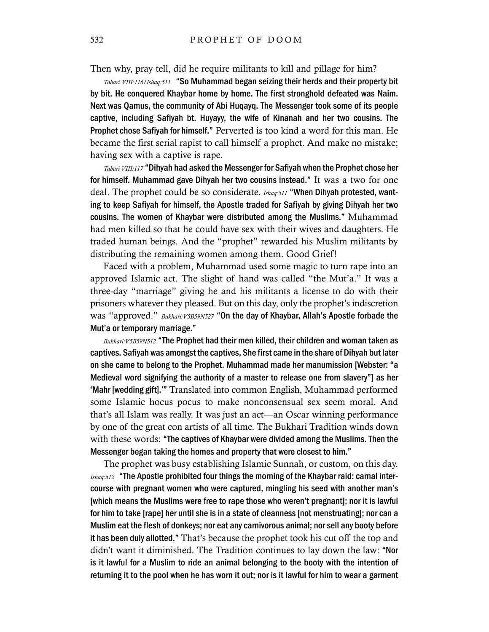Then why, pray tell, did he require militants to kill and pillage for him?

*Tabari VIII:116/Ishaq:511* "So Muhammad began seizing their herds and their property bit by bit. He conquered Khaybar home by home. The first stronghold defeated was Naim. Next was Qamus, the community of Abi Huqayq. The Messenger took some of its people captive, including Safiyah bt. Huyayy, the wife of Kinanah and her two cousins. The Prophet chose Safiyah for himself." Perverted is too kind a word for this man. He became the first serial rapist to call himself a prophet. And make no mistake; having sex with a captive is rape.

*Tabari VIII:117* "Dihyah had asked the Messenger for Safiyah when the Prophet chose her for himself. Muhammad gave Dihyah her two cousins instead." It was a two for one deal. The prophet could be so considerate. *Ishaq:511* "When Dihyah protested, wanting to keep Safiyah for himself, the Apostle traded for Safiyah by giving Dihyah her two cousins. The women of Khaybar were distributed among the Muslims." Muhammad had men killed so that he could have sex with their wives and daughters. He traded human beings. And the "prophet" rewarded his Muslim militants by distributing the remaining women among them. Good Grief!

Faced with a problem, Muhammad used some magic to turn rape into an approved Islamic act. The slight of hand was called "the Mut'a." It was a three-day "marriage" giving he and his militants a license to do with their prisoners whatever they pleased. But on this day, only the prophet's indiscretion was "approved." *Bukhari:V5B59N527* "On the day of Khaybar, Allah's Apostle forbade the Mut'a or temporary marriage."

*Bukhari:V5B59N512* "The Prophet had their men killed, their children and woman taken as captives. Safiyah was amongst the captives, She first came in the share of Dihyah but later on she came to belong to the Prophet. Muhammad made her manumission [Webster: "a Medieval word signifying the authority of a master to release one from slavery"] as her 'Mahr [wedding gift].'" Translated into common English, Muhammad performed some Islamic hocus pocus to make nonconsensual sex seem moral. And that's all Islam was really. It was just an act—an Oscar winning performance by one of the great con artists of all time. The Bukhari Tradition winds down with these words: "The captives of Khaybar were divided among the Muslims. Then the Messenger began taking the homes and property that were closest to him."

The prophet was busy establishing Islamic Sunnah, or custom, on this day. *Ishaq:512* "The Apostle prohibited four things the morning of the Khaybar raid: carnal intercourse with pregnant women who were captured, mingling his seed with another man's [which means the Muslims were free to rape those who weren't pregnant]; nor it is lawful for him to take [rape] her until she is in a state of cleanness [not menstruating]; nor can a Muslim eat the flesh of donkeys; nor eat any carnivorous animal; nor sell any booty before it has been duly allotted." That's because the prophet took his cut off the top and didn't want it diminished. The Tradition continues to lay down the law: "Nor is it lawful for a Muslim to ride an animal belonging to the booty with the intention of returning it to the pool when he has worn it out; nor is it lawful for him to wear a garment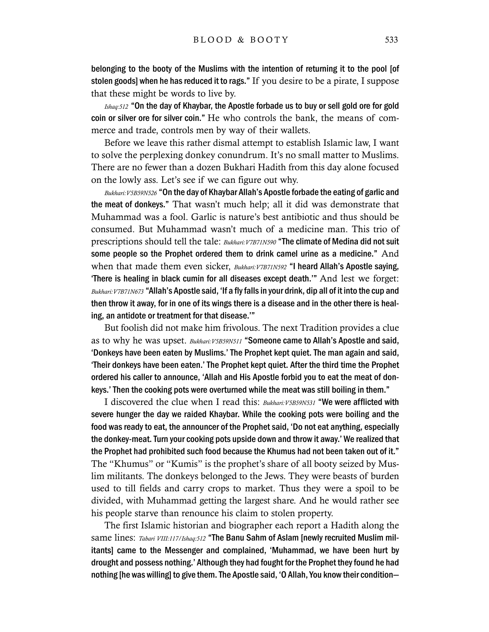belonging to the booty of the Muslims with the intention of returning it to the pool [of stolen goods] when he has reduced it to rags." If you desire to be a pirate, I suppose that these might be words to live by.

*Ishaq:512* "On the day of Khaybar, the Apostle forbade us to buy or sell gold ore for gold coin or silver ore for silver coin." He who controls the bank, the means of commerce and trade, controls men by way of their wallets.

Before we leave this rather dismal attempt to establish Islamic law, I want to solve the perplexing donkey conundrum. It's no small matter to Muslims. There are no fewer than a dozen Bukhari Hadith from this day alone focused on the lowly ass. Let's see if we can figure out why.

*Bukhari:V5B59N526* "On the day of Khaybar Allah's Apostle forbade the eating of garlic and the meat of donkeys." That wasn't much help; all it did was demonstrate that Muhammad was a fool. Garlic is nature's best antibiotic and thus should be consumed. But Muhammad wasn't much of a medicine man. This trio of prescriptions should tell the tale: *Bukhari:V7B71N590* "The climate of Medina did not suit some people so the Prophet ordered them to drink camel urine as a medicine." And when that made them even sicker, *Bukhari:V7B71N592* "I heard Allah's Apostle saying, 'There is healing in black cumin for all diseases except death.'" And lest we forget: *Bukhari:V7B71N673* "Allah's Apostle said, 'If a fly falls in your drink, dip all of it into the cup and then throw it away, for in one of its wings there is a disease and in the other there is healing, an antidote or treatment for that disease.'"

But foolish did not make him frivolous. The next Tradition provides a clue as to why he was upset. *Bukhari:V5B59N511* "Someone came to Allah's Apostle and said, 'Donkeys have been eaten by Muslims.' The Prophet kept quiet. The man again and said, 'Their donkeys have been eaten.' The Prophet kept quiet. After the third time the Prophet ordered his caller to announce, 'Allah and His Apostle forbid you to eat the meat of donkeys.' Then the cooking pots were overturned while the meat was still boiling in them."

I discovered the clue when I read this: *Bukhari:V5B59N531* "We were afflicted with severe hunger the day we raided Khaybar. While the cooking pots were boiling and the food was ready to eat, the announcer of the Prophet said, 'Do not eat anything, especially the donkey-meat. Turn your cooking pots upside down and throw it away.' We realized that the Prophet had prohibited such food because the Khumus had not been taken out of it." The "Khumus" or "Kumis" is the prophet's share of all booty seized by Muslim militants. The donkeys belonged to the Jews. They were beasts of burden used to till fields and carry crops to market. Thus they were a spoil to be divided, with Muhammad getting the largest share. And he would rather see his people starve than renounce his claim to stolen property.

The first Islamic historian and biographer each report a Hadith along the same lines: *Tabari VIII:117/Ishaq:512* "The Banu Sahm of Aslam [newly recruited Muslim militants] came to the Messenger and complained, 'Muhammad, we have been hurt by drought and possess nothing.' Although they had fought for the Prophet they found he had nothing [he was willing] to give them. The Apostle said, 'O Allah, You know their condition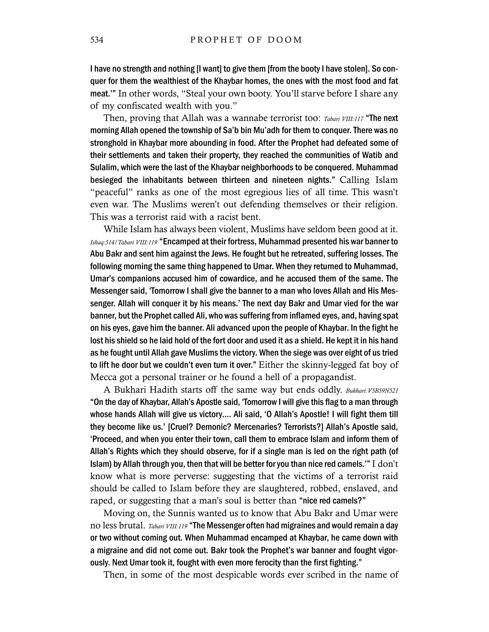I have no strength and nothing [I want] to give them [from the booty I have stolen]. So conquer for them the wealthiest of the Khaybar homes, the ones with the most food and fat meat.'" In other words, "Steal your own booty. You'll starve before I share any of my confiscated wealth with you."

Then, proving that Allah was a wannabe terrorist too: *Tabari VIII:117* "The next morning Allah opened the township of Sa'b bin Mu'adh for them to conquer. There was no stronghold in Khaybar more abounding in food. After the Prophet had defeated some of their settlements and taken their property, they reached the communities of Watib and Sulalim, which were the last of the Khaybar neighborhoods to be conquered. Muhammad besieged the inhabitants between thirteen and nineteen nights." Calling Islam "peaceful" ranks as one of the most egregious lies of all time. This wasn't even war. The Muslims weren't out defending themselves or their religion. This was a terrorist raid with a racist bent.

While Islam has always been violent, Muslims have seldom been good at it. *Ishaq:514/Tabari VIII:119* "Encamped at their fortress, Muhammad presented his war banner to Abu Bakr and sent him against the Jews. He fought but he retreated, suffering losses. The following morning the same thing happened to Umar. When they returned to Muhammad, Umar's companions accused him of cowardice, and he accused them of the same. The Messenger said, 'Tomorrow I shall give the banner to a man who loves Allah and His Messenger. Allah will conquer it by his means.' The next day Bakr and Umar vied for the war banner, but the Prophet called Ali, who was suffering from inflamed eyes, and, having spat on his eyes, gave him the banner. Ali advanced upon the people of Khaybar. In the fight he lost his shield so he laid hold of the fort door and used it as a shield. He kept it in his hand as he fought until Allah gave Muslims the victory. When the siege was over eight of us tried to lift he door but we couldn't even turn it over." Either the skinny-legged fat boy of Mecca got a personal trainer or he found a hell of a propagandist.

A Bukhari Hadith starts off the same way but ends oddly. *Bukhari:V5B59N521* "On the day of Khaybar, Allah's Apostle said, 'Tomorrow I will give this flag to a man through whose hands Allah will give us victory…. Ali said, 'O Allah's Apostle! I will fight them till they become like us.' [Cruel? Demonic? Mercenaries? Terrorists?] Allah's Apostle said, 'Proceed, and when you enter their town, call them to embrace Islam and inform them of Allah's Rights which they should observe, for if a single man is led on the right path (of Islam) by Allah through you, then that will be better for you than nice red camels.'" I don't know what is more perverse: suggesting that the victims of a terrorist raid should be called to Islam before they are slaughtered, robbed, enslaved, and raped, or suggesting that a man's soul is better than "nice red camels?"

Moving on, the Sunnis wanted us to know that Abu Bakr and Umar were no less brutal. *Tabari VIII:119* "The Messenger often had migraines and would remain a day or two without coming out. When Muhammad encamped at Khaybar, he came down with a migraine and did not come out. Bakr took the Prophet's war banner and fought vigorously. Next Umar took it, fought with even more ferocity than the first fighting."

Then, in some of the most despicable words ever scribed in the name of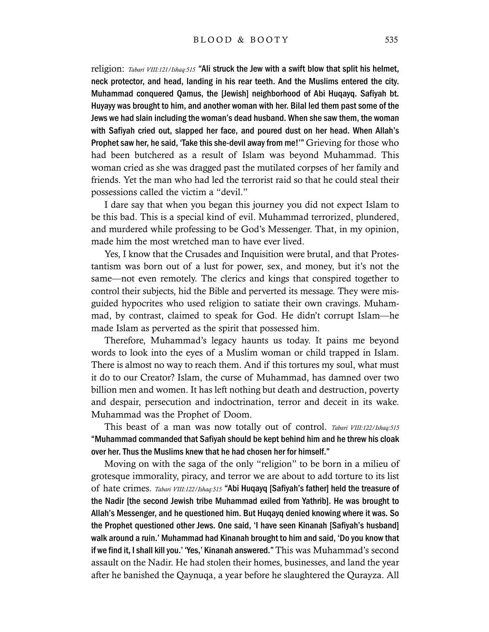religion: *Tabari VIII:121/Ishaq:515* "Ali struck the Jew with a swift blow that split his helmet, neck protector, and head, landing in his rear teeth. And the Muslims entered the city. Muhammad conquered Qamus, the [Jewish] neighborhood of Abi Huqayq. Safiyah bt. Huyayy was brought to him, and another woman with her. Bilal led them past some of the Jews we had slain including the woman's dead husband. When she saw them, the woman with Safiyah cried out, slapped her face, and poured dust on her head. When Allah's Prophet saw her, he said, 'Take this she-devil away from me!'" Grieving for those who had been butchered as a result of Islam was beyond Muhammad. This woman cried as she was dragged past the mutilated corpses of her family and friends. Yet the man who had led the terrorist raid so that he could steal their possessions called the victim a "devil."

I dare say that when you began this journey you did not expect Islam to be this bad. This is a special kind of evil. Muhammad terrorized, plundered, and murdered while professing to be God's Messenger. That, in my opinion, made him the most wretched man to have ever lived.

Yes, I know that the Crusades and Inquisition were brutal, and that Protestantism was born out of a lust for power, sex, and money, but it's not the same—not even remotely. The clerics and kings that conspired together to control their subjects, hid the Bible and perverted its message. They were misguided hypocrites who used religion to satiate their own cravings. Muhammad, by contrast, claimed to speak for God. He didn't corrupt Islam—he made Islam as perverted as the spirit that possessed him.

Therefore, Muhammad's legacy haunts us today. It pains me beyond words to look into the eyes of a Muslim woman or child trapped in Islam. There is almost no way to reach them. And if this tortures my soul, what must it do to our Creator? Islam, the curse of Muhammad, has damned over two billion men and women. It has left nothing but death and destruction, poverty and despair, persecution and indoctrination, terror and deceit in its wake. Muhammad was the Prophet of Doom.

This beast of a man was now totally out of control. *Tabari VIII:122/Ishaq:515* "Muhammad commanded that Safiyah should be kept behind him and he threw his cloak over her. Thus the Muslims knew that he had chosen her for himself."

Moving on with the saga of the only "religion" to be born in a milieu of grotesque immorality, piracy, and terror we are about to add torture to its list of hate crimes. *Tabari VIII:122/Ishaq:515* "Abi Huqayq [Safiyah's father] held the treasure of the Nadir [the second Jewish tribe Muhammad exiled from Yathrib]. He was brought to Allah's Messenger, and he questioned him. But Huqayq denied knowing where it was. So the Prophet questioned other Jews. One said, 'I have seen Kinanah [Safiyah's husband] walk around a ruin.' Muhammad had Kinanah brought to him and said, 'Do you know that if we find it, I shall kill you.' 'Yes,' Kinanah answered." This was Muhammad's second assault on the Nadir. He had stolen their homes, businesses, and land the year after he banished the Qaynuqa, a year before he slaughtered the Qurayza. All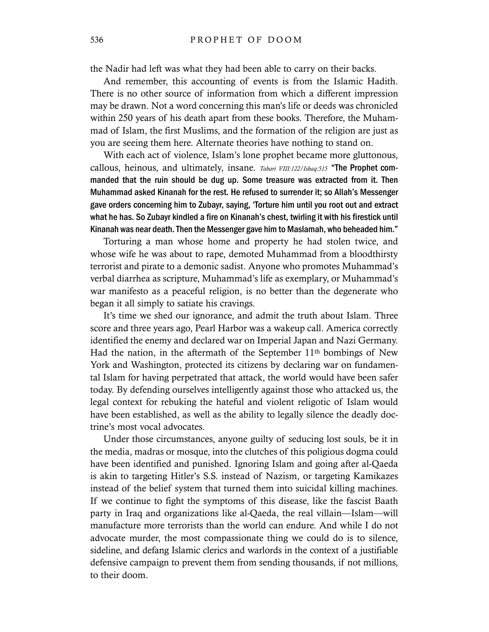the Nadir had left was what they had been able to carry on their backs.

And remember, this accounting of events is from the Islamic Hadith. There is no other source of information from which a different impression may be drawn. Not a word concerning this man's life or deeds was chronicled within 250 years of his death apart from these books. Therefore, the Muhammad of Islam, the first Muslims, and the formation of the religion are just as you are seeing them here. Alternate theories have nothing to stand on.

With each act of violence, Islam's lone prophet became more gluttonous, callous, heinous, and ultimately, insane. *Tabari VIII:122/Ishaq:515* "The Prophet commanded that the ruin should be dug up. Some treasure was extracted from it. Then Muhammad asked Kinanah for the rest. He refused to surrender it; so Allah's Messenger gave orders concerning him to Zubayr, saying, 'Torture him until you root out and extract what he has. So Zubayr kindled a fire on Kinanah's chest, twirling it with his firestick until Kinanah was near death. Then the Messenger gave him to Maslamah, who beheaded him."

Torturing a man whose home and property he had stolen twice, and whose wife he was about to rape, demoted Muhammad from a bloodthirsty terrorist and pirate to a demonic sadist. Anyone who promotes Muhammad's verbal diarrhea as scripture, Muhammad's life as exemplary, or Muhammad's war manifesto as a peaceful religion, is no better than the degenerate who began it all simply to satiate his cravings.

It's time we shed our ignorance, and admit the truth about Islam. Three score and three years ago, Pearl Harbor was a wakeup call. America correctly identified the enemy and declared war on Imperial Japan and Nazi Germany. Had the nation, in the aftermath of the September  $11<sup>th</sup>$  bombings of New York and Washington, protected its citizens by declaring war on fundamental Islam for having perpetrated that attack, the world would have been safer today. By defending ourselves intelligently against those who attacked us, the legal context for rebuking the hateful and violent religotic of Islam would have been established, as well as the ability to legally silence the deadly doctrine's most vocal advocates.

Under those circumstances, anyone guilty of seducing lost souls, be it in the media, madras or mosque, into the clutches of this poligious dogma could have been identified and punished. Ignoring Islam and going after al-Qaeda is akin to targeting Hitler's S.S. instead of Nazism, or targeting Kamikazes instead of the belief system that turned them into suicidal killing machines. If we continue to fight the symptoms of this disease, like the fascist Baath party in Iraq and organizations like al-Qaeda, the real villain—Islam—will manufacture more terrorists than the world can endure. And while I do not advocate murder, the most compassionate thing we could do is to silence, sideline, and defang Islamic clerics and warlords in the context of a justifiable defensive campaign to prevent them from sending thousands, if not millions, to their doom.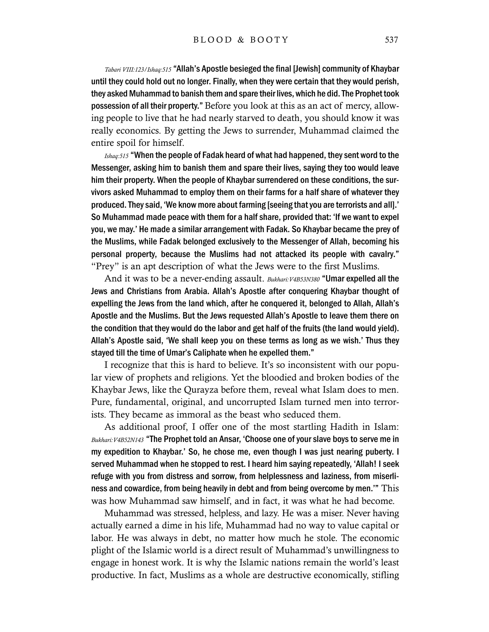*Tabari VIII:123/Ishaq:515* "Allah's Apostle besieged the final [Jewish] community of Khaybar until they could hold out no longer. Finally, when they were certain that they would perish, they asked Muhammad to banish them and spare their lives, which he did. The Prophet took possession of all their property." Before you look at this as an act of mercy, allowing people to live that he had nearly starved to death, you should know it was really economics. By getting the Jews to surrender, Muhammad claimed the entire spoil for himself.

*Ishaq:515* "When the people of Fadak heard of what had happened, they sent word to the Messenger, asking him to banish them and spare their lives, saying they too would leave him their property. When the people of Khaybar surrendered on these conditions, the survivors asked Muhammad to employ them on their farms for a half share of whatever they produced. They said, 'We know more about farming [seeing that you are terrorists and all].' So Muhammad made peace with them for a half share, provided that: 'If we want to expel you, we may.' He made a similar arrangement with Fadak. So Khaybar became the prey of the Muslims, while Fadak belonged exclusively to the Messenger of Allah, becoming his personal property, because the Muslims had not attacked its people with cavalry." "Prey" is an apt description of what the Jews were to the first Muslims.

And it was to be a never-ending assault. *Bukhari:V4B53N380* "Umar expelled all the Jews and Christians from Arabia. Allah's Apostle after conquering Khaybar thought of expelling the Jews from the land which, after he conquered it, belonged to Allah, Allah's Apostle and the Muslims. But the Jews requested Allah's Apostle to leave them there on the condition that they would do the labor and get half of the fruits (the land would yield). Allah's Apostle said, 'We shall keep you on these terms as long as we wish.' Thus they stayed till the time of Umar's Caliphate when he expelled them."

I recognize that this is hard to believe. It's so inconsistent with our popular view of prophets and religions. Yet the bloodied and broken bodies of the Khaybar Jews, like the Qurayza before them, reveal what Islam does to men. Pure, fundamental, original, and uncorrupted Islam turned men into terrorists. They became as immoral as the beast who seduced them.

As additional proof, I offer one of the most startling Hadith in Islam: *Bukhari:V4B52N143* "The Prophet told an Ansar, 'Choose one of your slave boys to serve me in my expedition to Khaybar.' So, he chose me, even though I was just nearing puberty. I served Muhammad when he stopped to rest. I heard him saying repeatedly, 'Allah! I seek refuge with you from distress and sorrow, from helplessness and laziness, from miserliness and cowardice, from being heavily in debt and from being overcome by men.'" This was how Muhammad saw himself, and in fact, it was what he had become.

Muhammad was stressed, helpless, and lazy. He was a miser. Never having actually earned a dime in his life, Muhammad had no way to value capital or labor. He was always in debt, no matter how much he stole. The economic plight of the Islamic world is a direct result of Muhammad's unwillingness to engage in honest work. It is why the Islamic nations remain the world's least productive. In fact, Muslims as a whole are destructive economically, stifling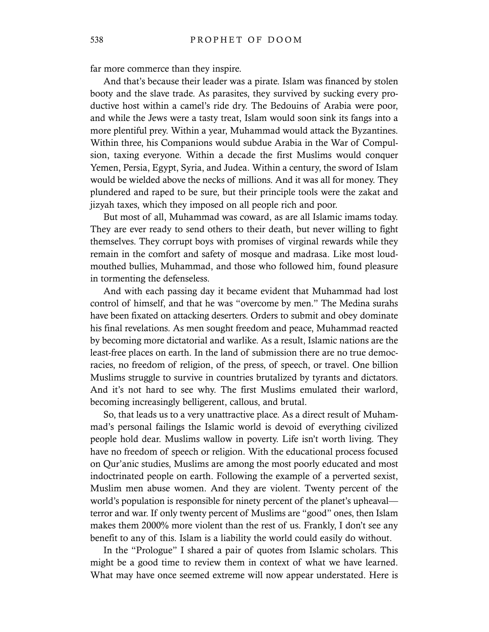far more commerce than they inspire.

And that's because their leader was a pirate. Islam was financed by stolen booty and the slave trade. As parasites, they survived by sucking every productive host within a camel's ride dry. The Bedouins of Arabia were poor, and while the Jews were a tasty treat, Islam would soon sink its fangs into a more plentiful prey. Within a year, Muhammad would attack the Byzantines. Within three, his Companions would subdue Arabia in the War of Compulsion, taxing everyone. Within a decade the first Muslims would conquer Yemen, Persia, Egypt, Syria, and Judea. Within a century, the sword of Islam would be wielded above the necks of millions. And it was all for money. They plundered and raped to be sure, but their principle tools were the zakat and jizyah taxes, which they imposed on all people rich and poor.

But most of all, Muhammad was coward, as are all Islamic imams today. They are ever ready to send others to their death, but never willing to fight themselves. They corrupt boys with promises of virginal rewards while they remain in the comfort and safety of mosque and madrasa. Like most loudmouthed bullies, Muhammad, and those who followed him, found pleasure in tormenting the defenseless.

And with each passing day it became evident that Muhammad had lost control of himself, and that he was "overcome by men." The Medina surahs have been fixated on attacking deserters. Orders to submit and obey dominate his final revelations. As men sought freedom and peace, Muhammad reacted by becoming more dictatorial and warlike. As a result, Islamic nations are the least-free places on earth. In the land of submission there are no true democracies, no freedom of religion, of the press, of speech, or travel. One billion Muslims struggle to survive in countries brutalized by tyrants and dictators. And it's not hard to see why. The first Muslims emulated their warlord, becoming increasingly belligerent, callous, and brutal.

So, that leads us to a very unattractive place. As a direct result of Muhammad's personal failings the Islamic world is devoid of everything civilized people hold dear. Muslims wallow in poverty. Life isn't worth living. They have no freedom of speech or religion. With the educational process focused on Qur'anic studies, Muslims are among the most poorly educated and most indoctrinated people on earth. Following the example of a perverted sexist, Muslim men abuse women. And they are violent. Twenty percent of the world's population is responsible for ninety percent of the planet's upheaval terror and war. If only twenty percent of Muslims are "good" ones, then Islam makes them 2000% more violent than the rest of us. Frankly, I don't see any benefit to any of this. Islam is a liability the world could easily do without.

In the "Prologue" I shared a pair of quotes from Islamic scholars. This might be a good time to review them in context of what we have learned. What may have once seemed extreme will now appear understated. Here is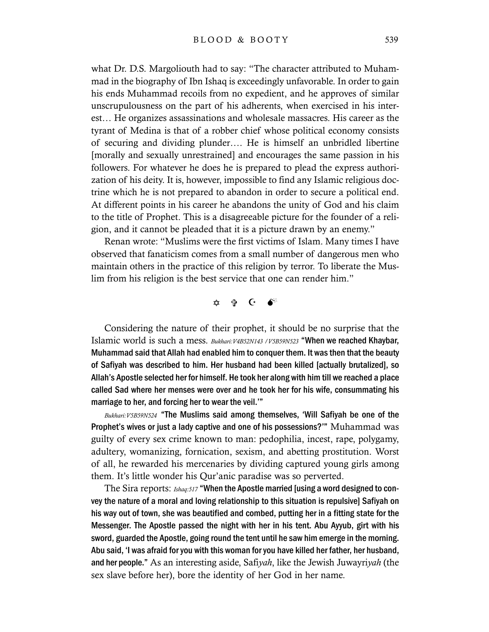what Dr. D.S. Margoliouth had to say: "The character attributed to Muhammad in the biography of Ibn Ishaq is exceedingly unfavorable. In order to gain his ends Muhammad recoils from no expedient, and he approves of similar unscrupulousness on the part of his adherents, when exercised in his interest… He organizes assassinations and wholesale massacres. His career as the tyrant of Medina is that of a robber chief whose political economy consists of securing and dividing plunder…. He is himself an unbridled libertine [morally and sexually unrestrained] and encourages the same passion in his followers. For whatever he does he is prepared to plead the express authorization of his deity. It is, however, impossible to find any Islamic religious doctrine which he is not prepared to abandon in order to secure a political end. At different points in his career he abandons the unity of God and his claim to the title of Prophet. This is a disagreeable picture for the founder of a religion, and it cannot be pleaded that it is a picture drawn by an enemy."

Renan wrote: "Muslims were the first victims of Islam. Many times I have observed that fanaticism comes from a small number of dangerous men who maintain others in the practice of this religion by terror. To liberate the Muslim from his religion is the best service that one can render him."

@ = A 0

Considering the nature of their prophet, it should be no surprise that the Islamic world is such a mess. *Bukhari:V4B52N143 /V5B59N523* "When we reached Khaybar, Muhammad said that Allah had enabled him to conquer them. It was then that the beauty of Safiyah was described to him. Her husband had been killed [actually brutalized], so Allah's Apostle selected her for himself. He took her along with him till we reached a place called Sad where her menses were over and he took her for his wife, consummating his marriage to her, and forcing her to wear the veil.'"

*Bukhari:V5B59N524* "The Muslims said among themselves, 'Will Safiyah be one of the Prophet's wives or just a lady captive and one of his possessions?'" Muhammad was guilty of every sex crime known to man: pedophilia, incest, rape, polygamy, adultery, womanizing, fornication, sexism, and abetting prostitution. Worst of all, he rewarded his mercenaries by dividing captured young girls among them. It's little wonder his Qur'anic paradise was so perverted.

The Sira reports: *Ishaq:517* "When the Apostle married [using a word designed to convey the nature of a moral and loving relationship to this situation is repulsive] Safiyah on his way out of town, she was beautified and combed, putting her in a fitting state for the Messenger. The Apostle passed the night with her in his tent. Abu Ayyub, girt with his sword, guarded the Apostle, going round the tent until he saw him emerge in the morning. Abu said, 'I was afraid for you with this woman for you have killed her father, her husband, and her people." As an interesting aside, Safi*yah*, like the Jewish Juwayri*yah* (the sex slave before her), bore the identity of her God in her name.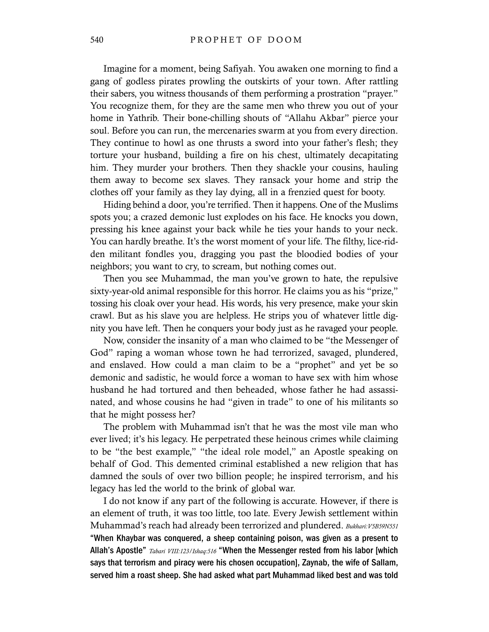Imagine for a moment, being Safiyah. You awaken one morning to find a gang of godless pirates prowling the outskirts of your town. After rattling their sabers, you witness thousands of them performing a prostration "prayer." You recognize them, for they are the same men who threw you out of your home in Yathrib. Their bone-chilling shouts of "Allahu Akbar" pierce your soul. Before you can run, the mercenaries swarm at you from every direction. They continue to howl as one thrusts a sword into your father's flesh; they torture your husband, building a fire on his chest, ultimately decapitating him. They murder your brothers. Then they shackle your cousins, hauling them away to become sex slaves. They ransack your home and strip the clothes off your family as they lay dying, all in a frenzied quest for booty.

Hiding behind a door, you're terrified. Then it happens. One of the Muslims spots you; a crazed demonic lust explodes on his face. He knocks you down, pressing his knee against your back while he ties your hands to your neck. You can hardly breathe. It's the worst moment of your life. The filthy, lice-ridden militant fondles you, dragging you past the bloodied bodies of your neighbors; you want to cry, to scream, but nothing comes out.

Then you see Muhammad, the man you've grown to hate, the repulsive sixty-year-old animal responsible for this horror. He claims you as his "prize," tossing his cloak over your head. His words, his very presence, make your skin crawl. But as his slave you are helpless. He strips you of whatever little dignity you have left. Then he conquers your body just as he ravaged your people.

Now, consider the insanity of a man who claimed to be "the Messenger of God" raping a woman whose town he had terrorized, savaged, plundered, and enslaved. How could a man claim to be a "prophet" and yet be so demonic and sadistic, he would force a woman to have sex with him whose husband he had tortured and then beheaded, whose father he had assassinated, and whose cousins he had "given in trade" to one of his militants so that he might possess her?

The problem with Muhammad isn't that he was the most vile man who ever lived; it's his legacy. He perpetrated these heinous crimes while claiming to be "the best example," "the ideal role model," an Apostle speaking on behalf of God. This demented criminal established a new religion that has damned the souls of over two billion people; he inspired terrorism, and his legacy has led the world to the brink of global war.

I do not know if any part of the following is accurate. However, if there is an element of truth, it was too little, too late. Every Jewish settlement within Muhammad's reach had already been terrorized and plundered. *Bukhari:V5B59N551* "When Khaybar was conquered, a sheep containing poison, was given as a present to Allah's Apostle" *Tabari VIII:123/Ishaq:516* "When the Messenger rested from his labor [which says that terrorism and piracy were his chosen occupation], Zaynab, the wife of Sallam, served him a roast sheep. She had asked what part Muhammad liked best and was told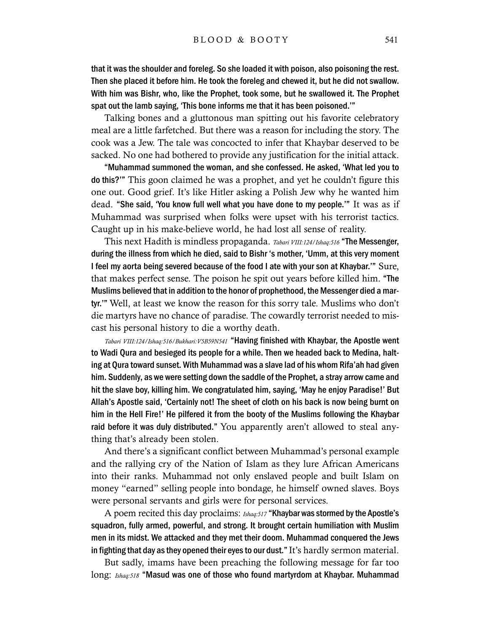that it was the shoulder and foreleg. So she loaded it with poison, also poisoning the rest. Then she placed it before him. He took the foreleg and chewed it, but he did not swallow. With him was Bishr, who, like the Prophet, took some, but he swallowed it. The Prophet spat out the lamb saying, 'This bone informs me that it has been poisoned.'"

Talking bones and a gluttonous man spitting out his favorite celebratory meal are a little farfetched. But there was a reason for including the story. The cook was a Jew. The tale was concocted to infer that Khaybar deserved to be sacked. No one had bothered to provide any justification for the initial attack.

"Muhammad summoned the woman, and she confessed. He asked, 'What led you to do this?'" This goon claimed he was a prophet, and yet he couldn't figure this one out. Good grief. It's like Hitler asking a Polish Jew why he wanted him dead. "She said, 'You know full well what you have done to my people.'" It was as if Muhammad was surprised when folks were upset with his terrorist tactics. Caught up in his make-believe world, he had lost all sense of reality.

This next Hadith is mindless propaganda. *Tabari VIII:124/Ishaq:516* "The Messenger, during the illness from which he died, said to Bishr 's mother, 'Umm, at this very moment I feel my aorta being severed because of the food I ate with your son at Khaybar.'" Sure, that makes perfect sense. The poison he spit out years before killed him. "The Muslims believed that in addition to the honor of prophethood, the Messenger died a martyr.'" Well, at least we know the reason for this sorry tale. Muslims who don't die martyrs have no chance of paradise. The cowardly terrorist needed to miscast his personal history to die a worthy death.

*Tabari VIII:124/Ishaq:516/Bukhari:V5B59N541* "Having finished with Khaybar, the Apostle went to Wadi Qura and besieged its people for a while. Then we headed back to Medina, halting at Qura toward sunset. With Muhammad was a slave lad of his whom Rifa'ah had given him. Suddenly, as we were setting down the saddle of the Prophet, a stray arrow came and hit the slave boy, killing him. We congratulated him, saying, 'May he enjoy Paradise!' But Allah's Apostle said, 'Certainly not! The sheet of cloth on his back is now being burnt on him in the Hell Fire!' He pilfered it from the booty of the Muslims following the Khaybar raid before it was duly distributed." You apparently aren't allowed to steal anything that's already been stolen.

And there's a significant conflict between Muhammad's personal example and the rallying cry of the Nation of Islam as they lure African Americans into their ranks. Muhammad not only enslaved people and built Islam on money "earned" selling people into bondage, he himself owned slaves. Boys were personal servants and girls were for personal services.

A poem recited this day proclaims: *Ishaq:517* "Khaybar was stormed by the Apostle's squadron, fully armed, powerful, and strong. It brought certain humiliation with Muslim men in its midst. We attacked and they met their doom. Muhammad conquered the Jews in fighting that day as they opened their eyes to our dust." It's hardly sermon material.

But sadly, imams have been preaching the following message for far too long: *Ishaq:518* "Masud was one of those who found martyrdom at Khaybar. Muhammad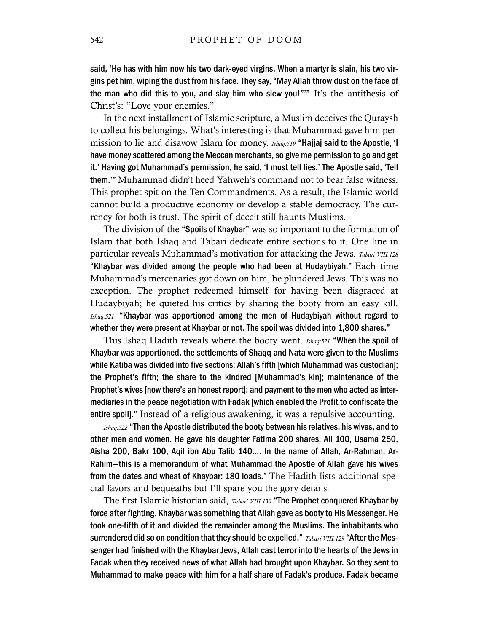said, 'He has with him now his two dark-eyed virgins. When a martyr is slain, his two virgins pet him, wiping the dust from his face. They say, "May Allah throw dust on the face of the man who did this to you, and slay him who slew you!"'" It's the antithesis of Christ's: "Love your enemies."

In the next installment of Islamic scripture, a Muslim deceives the Quraysh to collect his belongings. What's interesting is that Muhammad gave him permission to lie and disavow Islam for money. *Ishaq:519* "Hajjaj said to the Apostle, 'I have money scattered among the Meccan merchants, so give me permission to go and get it.' Having got Muhammad's permission, he said, 'I must tell lies.' The Apostle said, 'Tell them.'" Muhammad didn't heed Yahweh's command not to bear false witness. This prophet spit on the Ten Commandments. As a result, the Islamic world cannot build a productive economy or develop a stable democracy. The currency for both is trust. The spirit of deceit still haunts Muslims.

The division of the "Spoils of Khaybar" was so important to the formation of Islam that both Ishaq and Tabari dedicate entire sections to it. One line in particular reveals Muhammad's motivation for attacking the Jews. *Tabari VIII:128* "Khaybar was divided among the people who had been at Hudaybiyah." Each time Muhammad's mercenaries got down on him, he plundered Jews. This was no exception. The prophet redeemed himself for having been disgraced at Hudaybiyah; he quieted his critics by sharing the booty from an easy kill. *Ishaq:521* "Khaybar was apportioned among the men of Hudaybiyah without regard to whether they were present at Khaybar or not. The spoil was divided into 1,800 shares."

This Ishaq Hadith reveals where the booty went. *Ishaq:521* "When the spoil of Khaybar was apportioned, the settlements of Shaqq and Nata were given to the Muslims while Katiba was divided into five sections: Allah's fifth [which Muhammad was custodian]; the Prophet's fifth; the share to the kindred [Muhammad's kin]; maintenance of the Prophet's wives [now there's an honest report]; and payment to the men who acted as intermediaries in the peace negotiation with Fadak [which enabled the Profit to confiscate the entire spoil]." Instead of a religious awakening, it was a repulsive accounting.

*Ishaq:522* "Then the Apostle distributed the booty between his relatives, his wives, and to other men and women. He gave his daughter Fatima 200 shares, Ali 100, Usama 250, Aisha 200, Bakr 100, Aqil ibn Abu Talib 140…. In the name of Allah, Ar-Rahman, Ar-Rahim—this is a memorandum of what Muhammad the Apostle of Allah gave his wives from the dates and wheat of Khaybar: 180 loads." The Hadith lists additional special favors and bequeaths but I'll spare you the gory details.

The first Islamic historian said, *Tabari VIII:130* "The Prophet conquered Khaybar by force after fighting. Khaybar was something that Allah gave as booty to His Messenger. He took one-fifth of it and divided the remainder among the Muslims. The inhabitants who surrendered did so on condition that they should be expelled." *Tabari VIII:129* "After the Messenger had finished with the Khaybar Jews, Allah cast terror into the hearts of the Jews in Fadak when they received news of what Allah had brought upon Khaybar. So they sent to Muhammad to make peace with him for a half share of Fadak's produce. Fadak became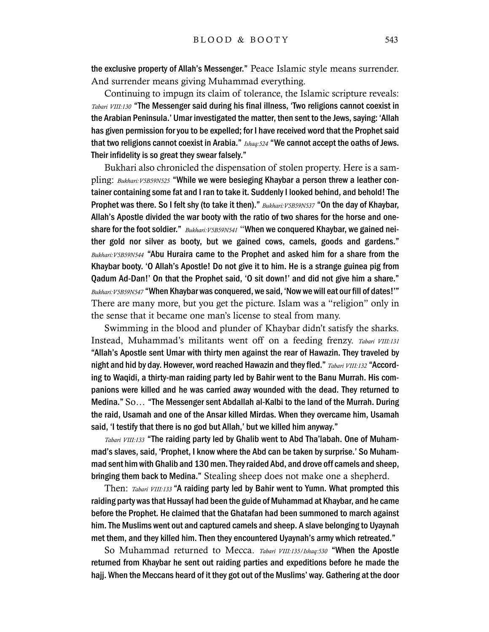the exclusive property of Allah's Messenger." Peace Islamic style means surrender. And surrender means giving Muhammad everything.

Continuing to impugn its claim of tolerance, the Islamic scripture reveals: *Tabari VIII:130* "The Messenger said during his final illness, 'Two religions cannot coexist in the Arabian Peninsula.' Umar investigated the matter, then sent to the Jews, saying: 'Allah has given permission for you to be expelled; for I have received word that the Prophet said that two religions cannot coexist in Arabia." *Ishaq:524* "We cannot accept the oaths of Jews. Their infidelity is so great they swear falsely."

Bukhari also chronicled the dispensation of stolen property. Here is a sampling: *Bukhari:V5B59N525* "While we were besieging Khaybar a person threw a leather container containing some fat and I ran to take it. Suddenly I looked behind, and behold! The Prophet was there. So I felt shy (to take it then)." *Bukhari:V5B59N537* "On the day of Khaybar, Allah's Apostle divided the war booty with the ratio of two shares for the horse and oneshare for the foot soldier." *Bukhari:V5B59N541* "When we conquered Khaybar, we gained neither gold nor silver as booty, but we gained cows, camels, goods and gardens." *Bukhari:V5B59N544* "Abu Huraira came to the Prophet and asked him for a share from the Khaybar booty. 'O Allah's Apostle! Do not give it to him. He is a strange guinea pig from Qadum Ad-Dan!' On that the Prophet said, 'O sit down!' and did not give him a share." *Bukhari:V5B59N547* "When Khaybar was conquered, we said, 'Now we will eat our fill of dates!'" There are many more, but you get the picture. Islam was a "religion" only in the sense that it became one man's license to steal from many.

Swimming in the blood and plunder of Khaybar didn't satisfy the sharks. Instead, Muhammad's militants went off on a feeding frenzy. *Tabari VIII:131* "Allah's Apostle sent Umar with thirty men against the rear of Hawazin. They traveled by night and hid by day. However, word reached Hawazin and they fled." *Tabari VIII:132* "According to Waqidi, a thirty-man raiding party led by Bahir went to the Banu Murrah. His companions were killed and he was carried away wounded with the dead. They returned to Medina." So… "The Messenger sent Abdallah al-Kalbi to the land of the Murrah. During the raid, Usamah and one of the Ansar killed Mirdas. When they overcame him, Usamah said, 'I testify that there is no god but Allah,' but we killed him anyway."

*Tabari VIII:133* "The raiding party led by Ghalib went to Abd Tha'labah. One of Muhammad's slaves, said, 'Prophet, I know where the Abd can be taken by surprise.' So Muhammad sent him with Ghalib and 130 men. They raided Abd, and drove off camels and sheep, bringing them back to Medina." Stealing sheep does not make one a shepherd.

Then: *Tabari VIII:133* "A raiding party led by Bahir went to Yumn. What prompted this raiding party was that Hussayl had been the guide of Muhammad at Khaybar, and he came before the Prophet. He claimed that the Ghatafan had been summoned to march against him. The Muslims went out and captured camels and sheep. A slave belonging to Uyaynah met them, and they killed him. Then they encountered Uyaynah's army which retreated."

So Muhammad returned to Mecca. *Tabari VIII:135/Ishaq:530* "When the Apostle returned from Khaybar he sent out raiding parties and expeditions before he made the hajj. When the Meccans heard of it they got out of the Muslims' way. Gathering at the door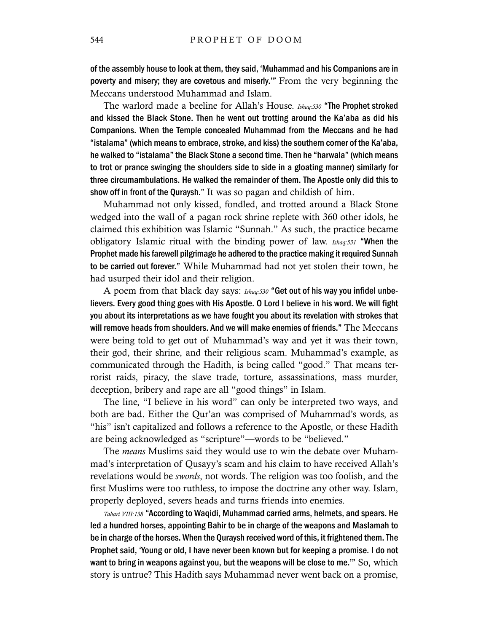of the assembly house to look at them, they said, 'Muhammad and his Companions are in poverty and misery; they are covetous and miserly.'" From the very beginning the Meccans understood Muhammad and Islam.

The warlord made a beeline for Allah's House. *Ishaq:530* "The Prophet stroked and kissed the Black Stone. Then he went out trotting around the Ka'aba as did his Companions. When the Temple concealed Muhammad from the Meccans and he had "istalama" (which means to embrace, stroke, and kiss) the southern corner of the Ka'aba, he walked to "istalama" the Black Stone a second time. Then he "harwala" (which means to trot or prance swinging the shoulders side to side in a gloating manner) similarly for three circumambulations. He walked the remainder of them. The Apostle only did this to show off in front of the Quraysh." It was so pagan and childish of him.

Muhammad not only kissed, fondled, and trotted around a Black Stone wedged into the wall of a pagan rock shrine replete with 360 other idols, he claimed this exhibition was Islamic "Sunnah." As such, the practice became obligatory Islamic ritual with the binding power of law. *Ishaq:531* "When the Prophet made his farewell pilgrimage he adhered to the practice making it required Sunnah to be carried out forever." While Muhammad had not yet stolen their town, he had usurped their idol and their religion.

A poem from that black day says: *Ishaq:530* "Get out of his way you infidel unbelievers. Every good thing goes with His Apostle. O Lord I believe in his word. We will fight you about its interpretations as we have fought you about its revelation with strokes that will remove heads from shoulders. And we will make enemies of friends." The Meccans were being told to get out of Muhammad's way and yet it was their town, their god, their shrine, and their religious scam. Muhammad's example, as communicated through the Hadith, is being called "good." That means terrorist raids, piracy, the slave trade, torture, assassinations, mass murder, deception, bribery and rape are all "good things" in Islam.

The line, "I believe in his word" can only be interpreted two ways, and both are bad. Either the Qur'an was comprised of Muhammad's words, as "his" isn't capitalized and follows a reference to the Apostle, or these Hadith are being acknowledged as "scripture"—words to be "believed."

The *means* Muslims said they would use to win the debate over Muhammad's interpretation of Qusayy's scam and his claim to have received Allah's revelations would be *swords*, not words. The religion was too foolish, and the first Muslims were too ruthless, to impose the doctrine any other way. Islam, properly deployed, severs heads and turns friends into enemies.

*Tabari VIII:138* "According to Waqidi, Muhammad carried arms, helmets, and spears. He led a hundred horses, appointing Bahir to be in charge of the weapons and Maslamah to be in charge of the horses. When the Quraysh received word of this, it frightened them. The Prophet said, 'Young or old, I have never been known but for keeping a promise. I do not want to bring in weapons against you, but the weapons will be close to me.'" So, which story is untrue? This Hadith says Muhammad never went back on a promise,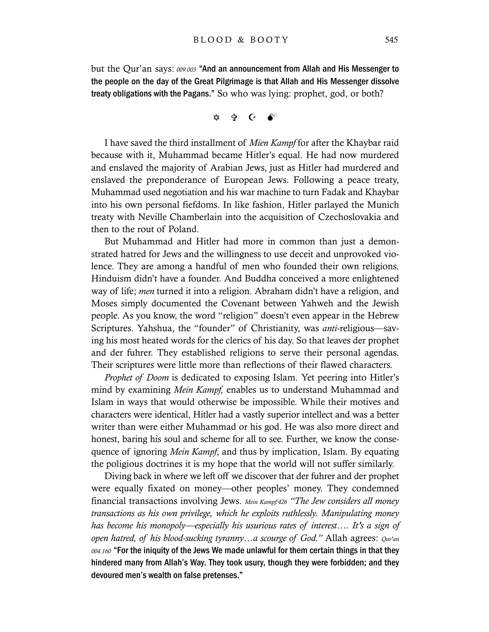but the Qur'an says: *009.003* "And an announcement from Allah and His Messenger to the people on the day of the Great Pilgrimage is that Allah and His Messenger dissolve treaty obligations with the Pagans." So who was lying: prophet, god, or both?

@ = A 0

I have saved the third installment of *Mien Kampf* for after the Khaybar raid because with it, Muhammad became Hitler's equal. He had now murdered and enslaved the majority of Arabian Jews, just as Hitler had murdered and enslaved the preponderance of European Jews. Following a peace treaty, Muhammad used negotiation and his war machine to turn Fadak and Khaybar into his own personal fiefdoms. In like fashion, Hitler parlayed the Munich treaty with Neville Chamberlain into the acquisition of Czechoslovakia and then to the rout of Poland.

But Muhammad and Hitler had more in common than just a demonstrated hatred for Jews and the willingness to use deceit and unprovoked violence. They are among a handful of men who founded their own religions. Hinduism didn't have a founder. And Buddha conceived a more enlightened way of life; *men* turned it into a religion. Abraham didn't have a religion, and Moses simply documented the Covenant between Yahweh and the Jewish people. As you know, the word "religion" doesn't even appear in the Hebrew Scriptures. Yahshua, the "founder" of Christianity, was *anti*-religious—saving his most heated words for the clerics of his day. So that leaves der prophet and der fuhrer. They established religions to serve their personal agendas. Their scriptures were little more than reflections of their flawed characters.

*Prophet of Doom* is dedicated to exposing Islam. Yet peering into Hitler's mind by examining *Mein Kampf,* enables us to understand Muhammad and Islam in ways that would otherwise be impossible. While their motives and characters were identical, Hitler had a vastly superior intellect and was a better writer than were either Muhammad or his god. He was also more direct and honest, baring his soul and scheme for all to see. Further, we know the consequence of ignoring *Mein Kampf*, and thus by implication, Islam. By equating the poligious doctrines it is my hope that the world will not suffer similarly.

Diving back in where we left off we discover that der fuhrer and der prophet were equally fixated on money—other peoples' money. They condemned financial transactions involving Jews. *Mein Kampf:426 "The Jew considers all money transactions as his own privilege, which he exploits ruthlessly. Manipulating money has become his monopoly—especially his usurious rates of interest…. It's a sign of open hatred, of his blood-sucking tyranny…a scourge of God."* Allah agrees: *Qur'an 004.160* "For the iniquity of the Jews We made unlawful for them certain things in that they hindered many from Allah's Way. They took usury, though they were forbidden; and they devoured men's wealth on false pretenses."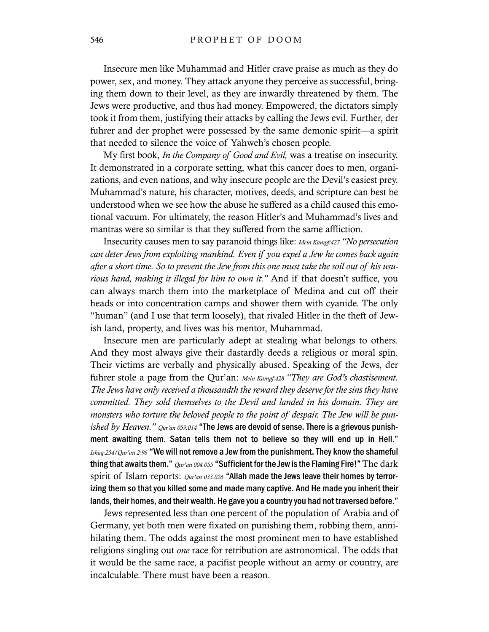Insecure men like Muhammad and Hitler crave praise as much as they do power, sex, and money. They attack anyone they perceive as successful, bringing them down to their level, as they are inwardly threatened by them. The Jews were productive, and thus had money. Empowered, the dictators simply took it from them, justifying their attacks by calling the Jews evil. Further, der fuhrer and der prophet were possessed by the same demonic spirit—a spirit that needed to silence the voice of Yahweh's chosen people.

My first book, *In the Company of Good and Evil,* was a treatise on insecurity. It demonstrated in a corporate setting, what this cancer does to men, organizations, and even nations, and why insecure people are the Devil's easiest prey. Muhammad's nature, his character, motives, deeds, and scripture can best be understood when we see how the abuse he suffered as a child caused this emotional vacuum. For ultimately, the reason Hitler's and Muhammad's lives and mantras were so similar is that they suffered from the same affliction.

Insecurity causes men to say paranoid things like: *Mein Kampf:427 "No persecution can deter Jews from exploiting mankind. Even if you expel a Jew he comes back again after a short time. So to prevent the Jew from this one must take the soil out of his usurious hand, making it illegal for him to own it."* And if that doesn't suffice, you can always march them into the marketplace of Medina and cut off their heads or into concentration camps and shower them with cyanide. The only "human" (and I use that term loosely), that rivaled Hitler in the theft of Jewish land, property, and lives was his mentor, Muhammad.

Insecure men are particularly adept at stealing what belongs to others. And they most always give their dastardly deeds a religious or moral spin. Their victims are verbally and physically abused. Speaking of the Jews, der fuhrer stole a page from the Qur'an: *Mein Kampf:428 "They are God's chastisement. The Jews have only received a thousandth the reward they deserve for the sins they have committed. They sold themselves to the Devil and landed in his domain. They are monsters who torture the beloved people to the point of despair. The Jew will be punished by Heaven." Qur'an 059.014* "The Jews are devoid of sense. There is a grievous punishment awaiting them. Satan tells them not to believe so they will end up in Hell." *Ishaq:254/Qur'an 2:96* "We will not remove a Jew from the punishment. They know the shameful thing that awaits them." *Qur'an 004.055* "Sufficient for the Jew is the Flaming Fire!" The dark spirit of Islam reports: *Qur'an 033.026* "Allah made the Jews leave their homes by terrorizing them so that you killed some and made many captive. And He made you inherit their lands, their homes, and their wealth. He gave you a country you had not traversed before."

Jews represented less than one percent of the population of Arabia and of Germany, yet both men were fixated on punishing them, robbing them, annihilating them. The odds against the most prominent men to have established religions singling out *one* race for retribution are astronomical. The odds that it would be the same race, a pacifist people without an army or country, are incalculable. There must have been a reason.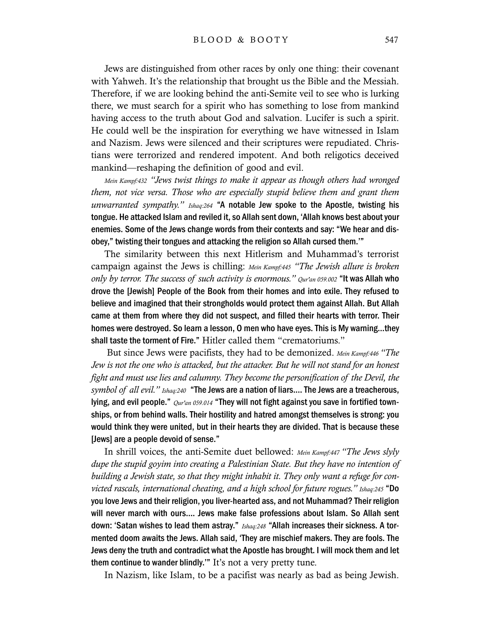Jews are distinguished from other races by only one thing: their covenant with Yahweh. It's the relationship that brought us the Bible and the Messiah. Therefore, if we are looking behind the anti-Semite veil to see who is lurking there, we must search for a spirit who has something to lose from mankind having access to the truth about God and salvation. Lucifer is such a spirit. He could well be the inspiration for everything we have witnessed in Islam and Nazism. Jews were silenced and their scriptures were repudiated. Christians were terrorized and rendered impotent. And both religotics deceived mankind—reshaping the definition of good and evil.

*Mein Kampf:432 "Jews twist things to make it appear as though others had wronged them, not vice versa. Those who are especially stupid believe them and grant them unwarranted sympathy." Ishaq:264* "A notable Jew spoke to the Apostle, twisting his tongue. He attacked Islam and reviled it, so Allah sent down, 'Allah knows best about your enemies. Some of the Jews change words from their contexts and say: "We hear and disobey," twisting their tongues and attacking the religion so Allah cursed them.'"

The similarity between this next Hitlerism and Muhammad's terrorist campaign against the Jews is chilling: *Mein Kampf:445 "The Jewish allure is broken only by terror. The success of such activity is enormous." Qur'an 059.002* "It was Allah who drove the [Jewish] People of the Book from their homes and into exile. They refused to believe and imagined that their strongholds would protect them against Allah. But Allah came at them from where they did not suspect, and filled their hearts with terror. Their homes were destroyed. So learn a lesson, O men who have eyes. This is My warning…they shall taste the torment of Fire." Hitler called them "crematoriums."

But since Jews were pacifists, they had to be demonized. *Mein Kampf:446 "The Jew is not the one who is attacked, but the attacker. But he will not stand for an honest fight and must use lies and calumny. They become the personification of the Devil, the symbol of all evil." Ishaq:240* "The Jews are a nation of liars.... The Jews are a treacherous, lying, and evil people." *Qur'an 059.014* "They will not fight against you save in fortified townships, or from behind walls. Their hostility and hatred amongst themselves is strong: you would think they were united, but in their hearts they are divided. That is because these [Jews] are a people devoid of sense."

In shrill voices, the anti-Semite duet bellowed: *Mein Kampf:447 "The Jews slyly dupe the stupid goyim into creating a Palestinian State. But they have no intention of building a Jewish state, so that they might inhabit it. They only want a refuge for convicted rascals, international cheating, and a high school for future rogues." Ishaq:245* "Do you love Jews and their religion, you liver-hearted ass, and not Muhammad? Their religion will never march with ours…. Jews make false professions about Islam. So Allah sent down: 'Satan wishes to lead them astray." *Ishaq:248* "Allah increases their sickness. A tormented doom awaits the Jews. Allah said, 'They are mischief makers. They are fools. The Jews deny the truth and contradict what the Apostle has brought. I will mock them and let them continue to wander blindly.'" It's not a very pretty tune.

In Nazism, like Islam, to be a pacifist was nearly as bad as being Jewish.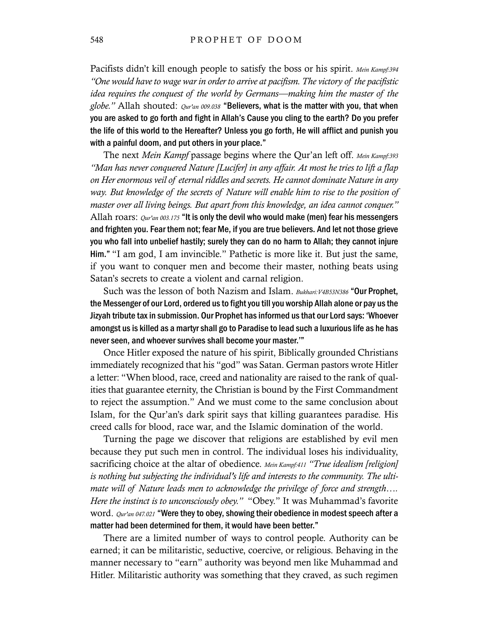Pacifists didn't kill enough people to satisfy the boss or his spirit. *Mein Kampf:394 "One would have to wage war in order to arrive at pacifism. The victory of the pacifistic idea requires the conquest of the world by Germans—making him the master of the globe."* Allah shouted: *Qur'an 009.038* "Believers, what is the matter with you, that when you are asked to go forth and fight in Allah's Cause you cling to the earth? Do you prefer the life of this world to the Hereafter? Unless you go forth, He will afflict and punish you with a painful doom, and put others in your place."

The next *Mein Kampf* passage begins where the Qur'an left off. *Mein Kampf:393 "Man has never conquered Nature [Lucifer] in any affair. At most he tries to lift a flap on Her enormous veil of eternal riddles and secrets. He cannot dominate Nature in any way. But knowledge of the secrets of Nature will enable him to rise to the position of master over all living beings. But apart from this knowledge, an idea cannot conquer."* Allah roars: *Qur'an 003.175* "It is only the devil who would make (men) fear his messengers and frighten you. Fear them not; fear Me, if you are true believers. And let not those grieve you who fall into unbelief hastily; surely they can do no harm to Allah; they cannot injure Him." "I am god, I am invincible." Pathetic is more like it. But just the same, if you want to conquer men and become their master, nothing beats using Satan's secrets to create a violent and carnal religion.

Such was the lesson of both Nazism and Islam. *Bukhari:V4B53N386* "Our Prophet, the Messenger of our Lord, ordered us to fight you till you worship Allah alone or pay us the Jizyah tribute tax in submission. Our Prophet has informed us that our Lord says: 'Whoever amongst us is killed as a martyr shall go to Paradise to lead such a luxurious life as he has never seen, and whoever survives shall become your master.'"

Once Hitler exposed the nature of his spirit, Biblically grounded Christians immediately recognized that his "god" was Satan. German pastors wrote Hitler a letter: "When blood, race, creed and nationality are raised to the rank of qualities that guarantee eternity, the Christian is bound by the First Commandment to reject the assumption." And we must come to the same conclusion about Islam, for the Qur'an's dark spirit says that killing guarantees paradise. His creed calls for blood, race war, and the Islamic domination of the world.

Turning the page we discover that religions are established by evil men because they put such men in control. The individual loses his individuality, sacrificing choice at the altar of obedience. *Mein Kampf:411 "True idealism [religion] is nothing but subjecting the individual's life and interests to the community. The ultimate will of Nature leads men to acknowledge the privilege of force and strength…. Here the instinct is to unconsciously obey."* "Obey." It was Muhammad's favorite word. *Qur'an 047.021* "Were they to obey, showing their obedience in modest speech after a matter had been determined for them, it would have been better."

There are a limited number of ways to control people. Authority can be earned; it can be militaristic, seductive, coercive, or religious. Behaving in the manner necessary to "earn" authority was beyond men like Muhammad and Hitler. Militaristic authority was something that they craved, as such regimen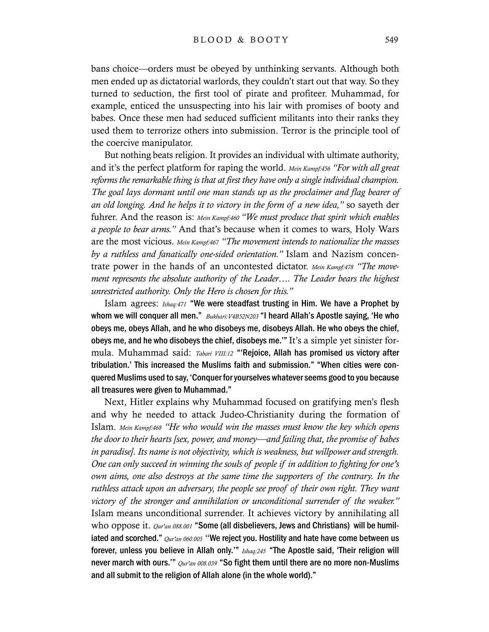bans choice*—*orders must be obeyed by unthinking servants. Although both men ended up as dictatorial warlords, they couldn't start out that way. So they turned to seduction, the first tool of pirate and profiteer. Muhammad, for example, enticed the unsuspecting into his lair with promises of booty and babes. Once these men had seduced sufficient militants into their ranks they used them to terrorize others into submission. Terror is the principle tool of the coercive manipulator.

But nothing beats religion. It provides an individual with ultimate authority, and it's the perfect platform for raping the world. *Mein Kampf:456 "For with all great reforms the remarkable thing is that at first they have only a single individual champion. The goal lays dormant until one man stands up as the proclaimer and flag bearer of an old longing. And he helps it to victory in the form of a new idea,"* so sayeth der fuhrer. And the reason is: *Mein Kampf:460 "We must produce that spirit which enables a people to bear arms."* And that's because when it comes to wars, Holy Wars are the most vicious. *Mein Kampf:467 "The movement intends to nationalize the masses by a ruthless and fanatically one-sided orientation."* Islam and Nazism concentrate power in the hands of an uncontested dictator. *Mein Kampf:478 "The movement represents the absolute authority of the Leader…. The Leader bears the highest unrestricted authority. Only the Hero is chosen for this."*

Islam agrees: *Ishaq:471* "We were steadfast trusting in Him. We have a Prophet by whom we will conquer all men." *Bukhari:V4B52N203* "I heard Allah's Apostle saying, 'He who obeys me, obeys Allah, and he who disobeys me, disobeys Allah. He who obeys the chief, obeys me, and he who disobeys the chief, disobeys me.'" It's a simple yet sinister formula. Muhammad said: *Tabari VIII:12* "'Rejoice, Allah has promised us victory after tribulation.' This increased the Muslims faith and submission." "When cities were conquered Muslims used to say, 'Conquer for yourselves whatever seems good to you because all treasures were given to Muhammad."

Next, Hitler explains why Muhammad focused on gratifying men's flesh and why he needed to attack Judeo-Christianity during the formation of Islam. *Mein Kampf:468 "He who would win the masses must know the key which opens the door to their hearts [sex, power, and money—and failing that, the promise of babes in paradise]. Its name is not objectivity, which is weakness, but willpower and strength. One can only succeed in winning the souls of people if in addition to fighting for one's own aims, one also destroys at the same time the supporters of the contrary. In the ruthless attack upon an adversary, the people see proof of their own right. They want victory of the stronger and annihilation or unconditional surrender of the weaker."* Islam means unconditional surrender. It achieves victory by annihilating all who oppose it. *Qur'an 088.001* "Some (all disbelievers, Jews and Christians) will be humiliated and scorched." *Qur'an 060.005* "We reject you. Hostility and hate have come between us forever, unless you believe in Allah only.'" *Ishaq:245* "The Apostle said, 'Their religion will never march with ours.'" *Qur'an 008.039* "So fight them until there are no more non-Muslims and all submit to the religion of Allah alone (in the whole world)."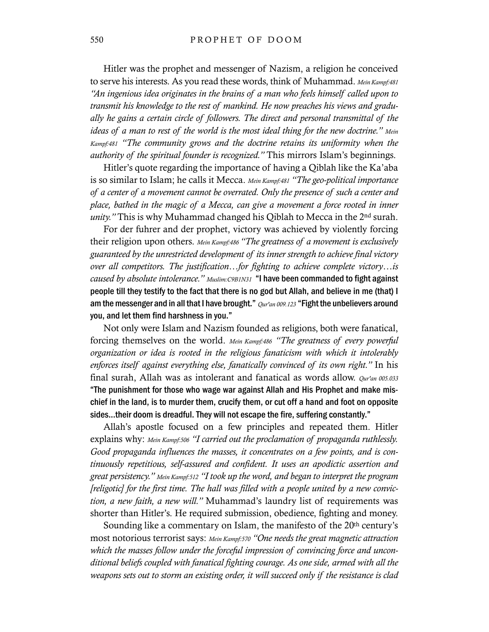Hitler was the prophet and messenger of Nazism, a religion he conceived to serve his interests. As you read these words, think of Muhammad. *Mein Kampf:481 "An ingenious idea originates in the brains of a man who feels himself called upon to transmit his knowledge to the rest of mankind. He now preaches his views and gradually he gains a certain circle of followers. The direct and personal transmittal of the ideas of a man to rest of the world is the most ideal thing for the new doctrine." Mein Kampf:481 "The community grows and the doctrine retains its uniformity when the authority of the spiritual founder is recognized."* This mirrors Islam's beginnings.

Hitler's quote regarding the importance of having a Qiblah like the Ka'aba is so similar to Islam; he calls it Mecca. *Mein Kampf:481 "The geo-political importance of a center of a movement cannot be overrated. Only the presence of such a center and place, bathed in the magic of a Mecca, can give a movement a force rooted in inner unity.*" This is why Muhammad changed his Qiblah to Mecca in the 2<sup>nd</sup> surah.

For der fuhrer and der prophet, victory was achieved by violently forcing their religion upon others. *Mein Kampf:486 "The greatness of a movement is exclusively guaranteed by the unrestricted development of its inner strength to achieve final victory over all competitors. The justification…for fighting to achieve complete victory…is caused by absolute intolerance." Muslim:C9B1N31* "I have been commanded to fight against people till they testify to the fact that there is no god but Allah, and believe in me (that) I am the messenger and in all that I have brought." *Qur'an 009.123* "Fight the unbelievers around you, and let them find harshness in you."

Not only were Islam and Nazism founded as religions, both were fanatical, forcing themselves on the world. *Mein Kampf:486 "The greatness of every powerful organization or idea is rooted in the religious fanaticism with which it intolerably enforces itself against everything else, fanatically convinced of its own right."* In his final surah, Allah was as intolerant and fanatical as words allow. *Qur'an 005.033* "The punishment for those who wage war against Allah and His Prophet and make mischief in the land, is to murder them, crucify them, or cut off a hand and foot on opposite sides...their doom is dreadful. They will not escape the fire, suffering constantly."

Allah's apostle focused on a few principles and repeated them. Hitler explains why: *Mein Kampf:506 "I carried out the proclamation of propaganda ruthlessly. Good propaganda influences the masses, it concentrates on a few points, and is continuously repetitious, self-assured and confident. It uses an apodictic assertion and great persistency." Mein Kampf:512 "I took up the word, and began to interpret the program [religotic] for the first time. The hall was filled with a people united by a new conviction, a new faith, a new will."* Muhammad's laundry list of requirements was shorter than Hitler's. He required submission, obedience, fighting and money.

Sounding like a commentary on Islam, the manifesto of the 20th century's most notorious terrorist says: *Mein Kampf:570 "One needs the great magnetic attraction which the masses follow under the forceful impression of convincing force and unconditional beliefs coupled with fanatical fighting courage. As one side, armed with all the weapons sets out to storm an existing order, it will succeed only if the resistance is clad*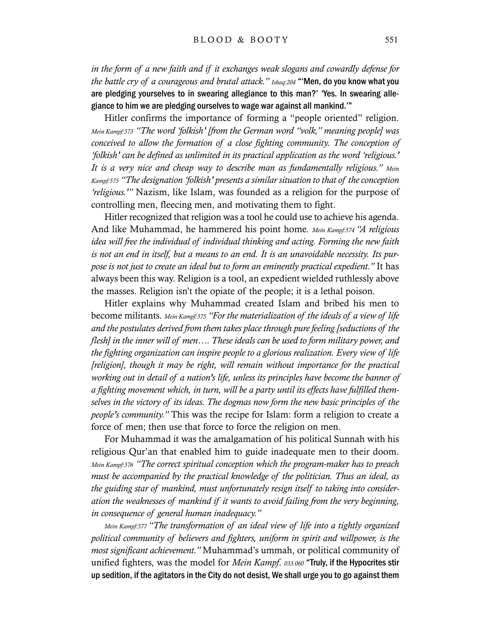*in the form of a new faith and if it exchanges weak slogans and cowardly defense for the battle cry of a courageous and brutal attack." Ishaq:204* "'Men, do you know what you are pledging yourselves to in swearing allegiance to this man?' 'Yes. In swearing allegiance to him we are pledging ourselves to wage war against all mankind.'"

Hitler confirms the importance of forming a "people oriented" religion. *Mein Kampf:573 "The word 'folkish' [from the German word "volk," meaning people] was conceived to allow the formation of a close fighting community. The conception of 'folkish' can be defined as unlimited in its practical application as the word 'religious.' It is a very nice and cheap way to describe man as fundamentally religious." Mein Kampf:575 "The designation 'folkish' presents a similar situation to that of the conception 'religious.'"* Nazism, like Islam, was founded as a religion for the purpose of controlling men, fleecing men, and motivating them to fight.

Hitler recognized that religion was a tool he could use to achieve his agenda. And like Muhammad, he hammered his point home. *Mein Kampf:574 "A religious idea will free the individual of individual thinking and acting. Forming the new faith is not an end in itself, but a means to an end. It is an unavoidable necessity. Its purpose is not just to create an ideal but to form an eminently practical expedient."* It has always been this way. Religion is a tool, an expedient wielded ruthlessly above the masses. Religion isn't the opiate of the people; it is a lethal poison.

Hitler explains why Muhammad created Islam and bribed his men to become militants. *Mein Kampf:575 "For the materialization of the ideals of a view of life and the postulates derived from them takes place through pure feeling [seductions of the flesh] in the inner will of men…. These ideals can be used to form military power, and the fighting organization can inspire people to a glorious realization. Every view of life [religion], though it may be right, will remain without importance for the practical working out in detail of a nation's life, unless its principles have become the banner of a fighting movement which, in turn, will be a party until its effects have fulfilled themselves in the victory of its ideas. The dogmas now form the new basic principles of the people's community."* This was the recipe for Islam: form a religion to create a force of men; then use that force to force the religion on men.

For Muhammad it was the amalgamation of his political Sunnah with his religious Qur'an that enabled him to guide inadequate men to their doom. *Mein Kampf:576 "The correct spiritual conception which the program-maker has to preach must be accompanied by the practical knowledge of the politician. Thus an ideal, as the guiding star of mankind, must unfortunately resign itself to taking into consideration the weaknesses of mankind if it wants to avoid failing from the very beginning, in consequence of general human inadequacy."*

*Mein Kampf:577 "The transformation of an ideal view of life into a tightly organized political community of believers and fighters, uniform in spirit and willpower, is the most significant achievement."* Muhammad's ummah, or political community of unified fighters, was the model for *Mein Kampf*. *033.060* "Truly, if the Hypocrites stir up sedition, if the agitators in the City do not desist, We shall urge you to go against them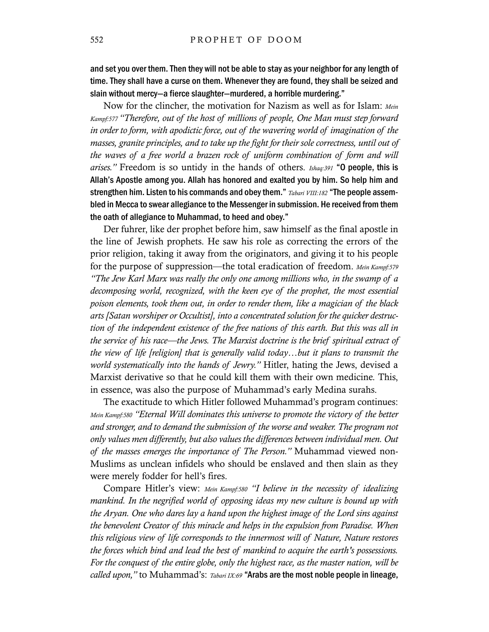and set you over them. Then they will not be able to stay as your neighbor for any length of time. They shall have a curse on them. Whenever they are found, they shall be seized and slain without mercy—a fierce slaughter—murdered, a horrible murdering."

Now for the clincher, the motivation for Nazism as well as for Islam: *Mein Kampf:577 "Therefore, out of the host of millions of people, One Man must step forward in order to form, with apodictic force, out of the wavering world of imagination of the masses, granite principles, and to take up the fight for their sole correctness, until out of the waves of a free world a brazen rock of uniform combination of form and will arises."* Freedom is so untidy in the hands of others. *Ishaq:391* "O people, this is Allah's Apostle among you. Allah has honored and exalted you by him. So help him and strengthen him. Listen to his commands and obey them." *Tabari VIII:182* "The people assembled in Mecca to swear allegiance to the Messenger in submission. He received from them the oath of allegiance to Muhammad, to heed and obey."

Der fuhrer, like der prophet before him, saw himself as the final apostle in the line of Jewish prophets. He saw his role as correcting the errors of the prior religion, taking it away from the originators, and giving it to his people for the purpose of suppression—the total eradication of freedom. *Mein Kampf:579 "The Jew Karl Marx was really the only one among millions who, in the swamp of a decomposing world, recognized, with the keen eye of the prophet, the most essential poison elements, took them out, in order to render them, like a magician of the black arts [Satan worshiper or Occultist], into a concentrated solution for the quicker destruction of the independent existence of the free nations of this earth. But this was all in the service of his race—the Jews. The Marxist doctrine is the brief spiritual extract of the view of life [religion] that is generally valid today…but it plans to transmit the world systematically into the hands of Jewry."* Hitler, hating the Jews, devised a Marxist derivative so that he could kill them with their own medicine. This, in essence, was also the purpose of Muhammad's early Medina surahs.

The exactitude to which Hitler followed Muhammad's program continues: *Mein Kampf:580 "Eternal Will dominates this universe to promote the victory of the better and stronger, and to demand the submission of the worse and weaker. The program not only values men differently, but also values the differences between individual men. Out of the masses emerges the importance of The Person."* Muhammad viewed non-Muslims as unclean infidels who should be enslaved and then slain as they were merely fodder for hell's fires.

Compare Hitler's view: *Mein Kampf:580 "I believe in the necessity of idealizing mankind. In the negrified world of opposing ideas my new culture is bound up with the Aryan. One who dares lay a hand upon the highest image of the Lord sins against the benevolent Creator of this miracle and helps in the expulsion from Paradise. When this religious view of life corresponds to the innermost will of Nature, Nature restores the forces which bind and lead the best of mankind to acquire the earth's possessions. For the conquest of the entire globe, only the highest race, as the master nation, will be called upon,"* to Muhammad's: *Tabari IX:69* "Arabs are the most noble people in lineage,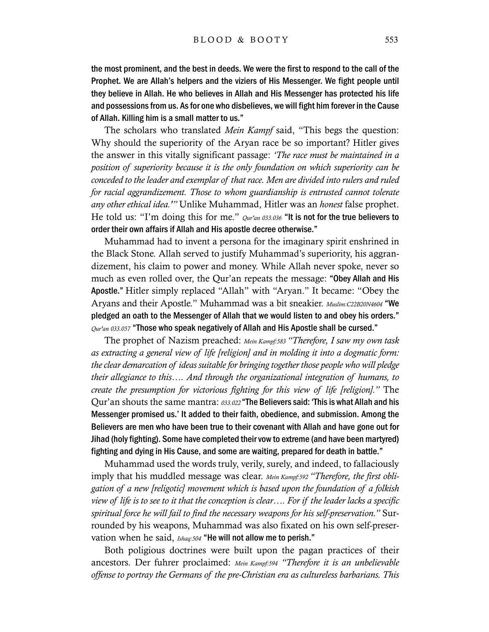the most prominent, and the best in deeds. We were the first to respond to the call of the Prophet. We are Allah's helpers and the viziers of His Messenger. We fight people until they believe in Allah. He who believes in Allah and His Messenger has protected his life and possessions from us. As for one who disbelieves, we will fight him forever in the Cause of Allah. Killing him is a small matter to us."

The scholars who translated *Mein Kampf* said, "This begs the question: Why should the superiority of the Aryan race be so important? Hitler gives the answer in this vitally significant passage: *'The race must be maintained in a position of superiority because it is the only foundation on which superiority can be conceded to the leader and exemplar of that race. Men are divided into rulers and ruled for racial aggrandizement. Those to whom guardianship is entrusted cannot tolerate any other ethical idea.'"* Unlike Muhammad, Hitler was an *honest* false prophet. He told us: "I'm doing this for me." *Qur'an 033.036* "It is not for the true believers to order their own affairs if Allah and His apostle decree otherwise."

Muhammad had to invent a persona for the imaginary spirit enshrined in the Black Stone. Allah served to justify Muhammad's superiority, his aggrandizement, his claim to power and money. While Allah never spoke, never so much as even rolled over, the Qur'an repeats the message: "Obey Allah and His Apostle." Hitler simply replaced "Allah" with "Aryan." It became: "Obey the Aryans and their Apostle." Muhammad was a bit sneakier. *Muslim:C22B20N4604* "We pledged an oath to the Messenger of Allah that we would listen to and obey his orders." *Qur'an 033.057* "Those who speak negatively of Allah and His Apostle shall be cursed."

The prophet of Nazism preached: *Mein Kampf:583 "Therefore, I saw my own task as extracting a general view of life [religion] and in molding it into a dogmatic form: the clear demarcation of ideas suitable for bringing together those people who will pledge their allegiance to this…. And through the organizational integration of humans, to create the presumption for victorious fighting for this view of life [religion]."* The Qur'an shouts the same mantra: *033.022* "The Believers said: 'This is what Allah and his Messenger promised us.' It added to their faith, obedience, and submission. Among the Believers are men who have been true to their covenant with Allah and have gone out for Jihad (holy fighting). Some have completed their vow to extreme (and have been martyred) fighting and dying in His Cause, and some are waiting, prepared for death in battle."

Muhammad used the words truly, verily, surely, and indeed, to fallaciously imply that his muddled message was clear. *Mein Kampf:592 "Therefore, the first obligation of a new [religotic] movement which is based upon the foundation of a folkish view of life is to see to it that the conception is clear…. For if the leader lacks a specific spiritual force he will fail to find the necessary weapons for his self-preservation."* Surrounded by his weapons, Muhammad was also fixated on his own self-preservation when he said, *Ishaq:504* "He will not allow me to perish."

Both poligious doctrines were built upon the pagan practices of their ancestors. Der fuhrer proclaimed: *Mein Kampf:594 "Therefore it is an unbelievable offense to portray the Germans of the pre-Christian era as cultureless barbarians. This*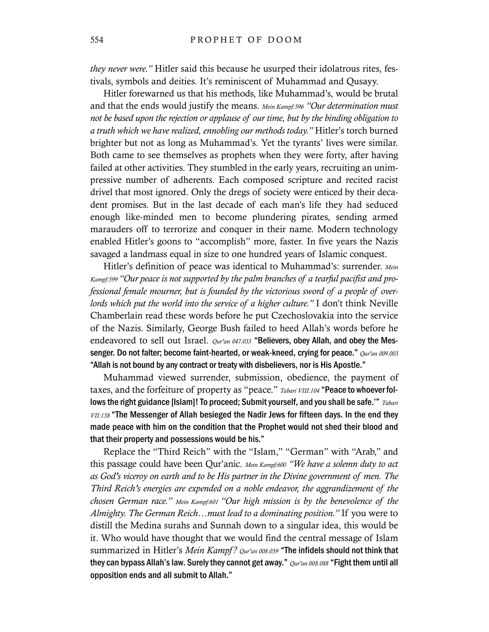*they never were."* Hitler said this because he usurped their idolatrous rites, festivals, symbols and deities. It's reminiscent of Muhammad and Qusayy.

Hitler forewarned us that his methods, like Muhammad's, would be brutal and that the ends would justify the means. *Mein Kampf:596 "Our determination must not be based upon the rejection or applause of our time, but by the binding obligation to a truth which we have realized, ennobling our methods today."* Hitler's torch burned brighter but not as long as Muhammad's. Yet the tyrants' lives were similar. Both came to see themselves as prophets when they were forty, after having failed at other activities. They stumbled in the early years, recruiting an unimpressive number of adherents. Each composed scripture and recited racist drivel that most ignored. Only the dregs of society were enticed by their decadent promises. But in the last decade of each man's life they had seduced enough like-minded men to become plundering pirates, sending armed marauders off to terrorize and conquer in their name. Modern technology enabled Hitler's goons to "accomplish" more, faster. In five years the Nazis savaged a landmass equal in size to one hundred years of Islamic conquest.

Hitler's definition of peace was identical to Muhammad's: surrender. *Mein Kampf:599 "Our peace is not supported by the palm branches of a tearful pacifist and professional female mourner, but is founded by the victorious sword of a people of overlords which put the world into the service of a higher culture."* I don't think Neville Chamberlain read these words before he put Czechoslovakia into the service of the Nazis. Similarly, George Bush failed to heed Allah's words before he endeavored to sell out Israel. *Qur'an 047.033* "Believers, obey Allah, and obey the Messenger. Do not falter; become faint-hearted, or weak-kneed, crying for peace." *Qur'an 009.003* "Allah is not bound by any contract or treaty with disbelievers, nor is His Apostle."

Muhammad viewed surrender, submission, obedience, the payment of taxes, and the forfeiture of property as "peace." *Tabari VIII:104* "Peace to whoever follows the right guidance [Islam]! To proceed; Submit yourself, and you shall be safe.'" *Tabari VII:158* "The Messenger of Allah besieged the Nadir Jews for fifteen days. In the end they made peace with him on the condition that the Prophet would not shed their blood and that their property and possessions would be his."

Replace the "Third Reich" with the "Islam," "German" with "Arab," and this passage could have been Qur'anic. *Mein Kampf:600 "We have a solemn duty to act as God's viceroy on earth and to be His partner in the Divine government of men. The Third Reich's energies are expended on a noble endeavor, the aggrandizement of the chosen German race." Mein Kampf:601 "Our high mission is by the benevolence of the Almighty. The German Reich…must lead to a dominating position."* If you were to distill the Medina surahs and Sunnah down to a singular idea, this would be it. Who would have thought that we would find the central message of Islam summarized in Hitler's *Mein Kampf ? Qur'an 008.059* "The infidels should not think that they can bypass Allah's law. Surely they cannot get away." *Qur'an 008.088* "Fight them until all opposition ends and all submit to Allah."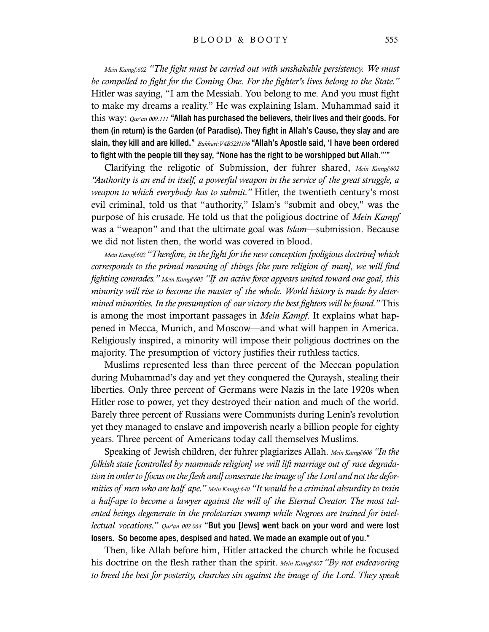*Mein Kampf:602 "The fight must be carried out with unshakable persistency. We must be compelled to fight for the Coming One. For the fighter's lives belong to the State."* Hitler was saying, "I am the Messiah. You belong to me. And you must fight to make my dreams a reality." He was explaining Islam. Muhammad said it this way: *Qur'an 009.111* "Allah has purchased the believers, their lives and their goods. For them (in return) is the Garden (of Paradise). They fight in Allah's Cause, they slay and are slain, they kill and are killed." *Bukhari:V4B52N196* "Allah's Apostle said, 'I have been ordered to fight with the people till they say, "None has the right to be worshipped but Allah."'"

Clarifying the religotic of Submission, der fuhrer shared, *Mein Kampf:602 "Authority is an end in itself, a powerful weapon in the service of the great struggle, a weapon to which everybody has to submit."* Hitler, the twentieth century's most evil criminal, told us that "authority," Islam's "submit and obey," was the purpose of his crusade. He told us that the poligious doctrine of *Mein Kampf* was a "weapon" and that the ultimate goal was *Islam*—submission. Because we did not listen then, the world was covered in blood.

*Mein Kampf:602 "Therefore, in the fight for the new conception [poligious doctrine] which corresponds to the primal meaning of things [the pure religion of man], we will find fighting comrades." Mein Kampf:603 "If an active force appears united toward one goal, this minority will rise to become the master of the whole. World history is made by determined minorities. In the presumption of our victory the best fighters will be found."* This is among the most important passages in *Mein Kampf*. It explains what happened in Mecca, Munich, and Moscow—and what will happen in America. Religiously inspired, a minority will impose their poligious doctrines on the majority. The presumption of victory justifies their ruthless tactics.

Muslims represented less than three percent of the Meccan population during Muhammad's day and yet they conquered the Quraysh, stealing their liberties. Only three percent of Germans were Nazis in the late 1920s when Hitler rose to power, yet they destroyed their nation and much of the world. Barely three percent of Russians were Communists during Lenin's revolution yet they managed to enslave and impoverish nearly a billion people for eighty years. Three percent of Americans today call themselves Muslims.

Speaking of Jewish children, der fuhrer plagiarizes Allah. *Mein Kampf:606 "In the folkish state [controlled by manmade religion] we will lift marriage out of race degradation in order to [focus on the flesh and] consecrate the image of the Lord and not the deformities of men who are half ape." Mein Kampf:640 "It would be a criminal absurdity to train a half-ape to become a lawyer against the will of the Eternal Creator. The most talented beings degenerate in the proletarian swamp while Negroes are trained for intellectual vocations." Qur'an 002.064* "But you [Jews] went back on your word and were lost losers. So become apes, despised and hated. We made an example out of you."

Then, like Allah before him, Hitler attacked the church while he focused his doctrine on the flesh rather than the spirit. *Mein Kampf:607 "By not endeavoring to breed the best for posterity, churches sin against the image of the Lord. They speak*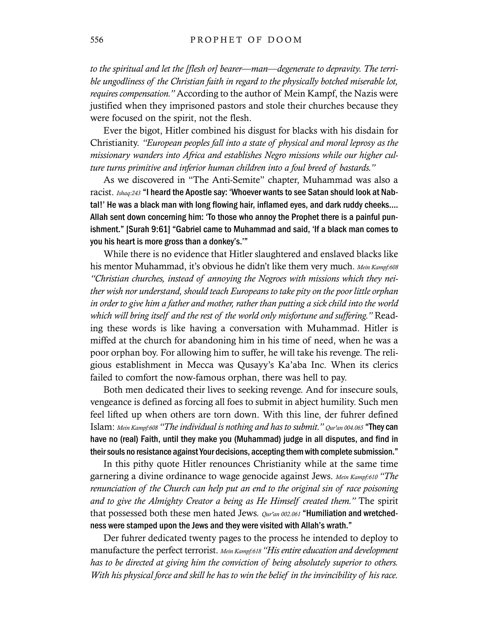*to the spiritual and let the [flesh or] bearer*—*man*—*degenerate to depravity. The terrible ungodliness of the Christian faith in regard to the physically botched miserable lot, requires compensation."* According to the author of Mein Kampf, the Nazis were justified when they imprisoned pastors and stole their churches because they were focused on the spirit, not the flesh.

Ever the bigot, Hitler combined his disgust for blacks with his disdain for Christianity. *"European peoples fall into a state of physical and moral leprosy as the missionary wanders into Africa and establishes Negro missions while our higher culture turns primitive and inferior human children into a foul breed of bastards."*

As we discovered in "The Anti-Semite" chapter, Muhammad was also a racist. *Ishaq:243* "I heard the Apostle say: 'Whoever wants to see Satan should look at Nabtal!' He was a black man with long flowing hair, inflamed eyes, and dark ruddy cheeks…. Allah sent down concerning him: 'To those who annoy the Prophet there is a painful punishment." [Surah 9:61] "Gabriel came to Muhammad and said, 'If a black man comes to you his heart is more gross than a donkey's.'"

While there is no evidence that Hitler slaughtered and enslaved blacks like his mentor Muhammad, it's obvious he didn't like them very much. *Mein Kampf:608 "Christian churches, instead of annoying the Negroes with missions which they neither wish nor understand, should teach Europeans to take pity on the poor little orphan in order to give him a father and mother, rather than putting a sick child into the world which will bring itself and the rest of the world only misfortune and suffering."* Reading these words is like having a conversation with Muhammad. Hitler is miffed at the church for abandoning him in his time of need, when he was a poor orphan boy. For allowing him to suffer, he will take his revenge. The religious establishment in Mecca was Qusayy's Ka'aba Inc. When its clerics failed to comfort the now-famous orphan, there was hell to pay.

Both men dedicated their lives to seeking revenge. And for insecure souls, vengeance is defined as forcing all foes to submit in abject humility. Such men feel lifted up when others are torn down. With this line, der fuhrer defined Islam: *Mein Kampf:608 "The individual is nothing and has to submit." Qur'an 004.065* "They can have no (real) Faith, until they make you (Muhammad) judge in all disputes, and find in their souls no resistance against Your decisions, accepting them with complete submission."

In this pithy quote Hitler renounces Christianity while at the same time garnering a divine ordinance to wage genocide against Jews. *Mein Kampf:610 "The renunciation of the Church can help put an end to the original sin of race poisoning and to give the Almighty Creator a being as He Himself created them."* The spirit that possessed both these men hated Jews*. Qur'an 002.061* "Humiliation and wretchedness were stamped upon the Jews and they were visited with Allah's wrath."

Der fuhrer dedicated twenty pages to the process he intended to deploy to manufacture the perfect terrorist. *Mein Kampf:618 "His entire education and development has to be directed at giving him the conviction of being absolutely superior to others. With his physical force and skill he has to win the belief in the invincibility of his race.*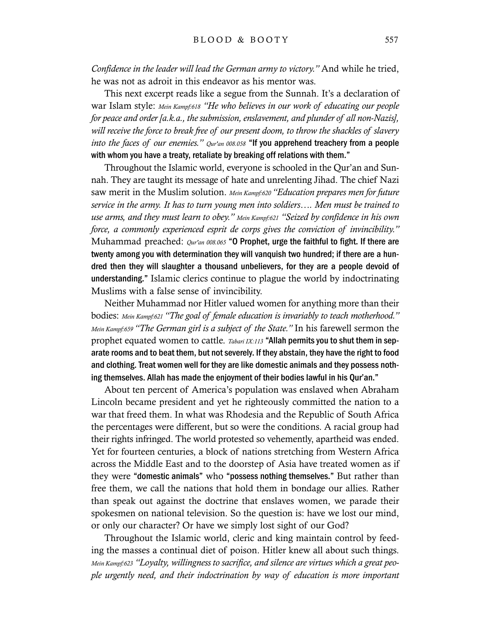*Confidence in the leader will lead the German army to victory."* And while he tried, he was not as adroit in this endeavor as his mentor was.

This next excerpt reads like a segue from the Sunnah. It's a declaration of war Islam style: *Mein Kampf:618 "He who believes in our work of educating our people for peace and order [a.k.a., the submission, enslavement, and plunder of all non-Nazis], will receive the force to break free of our present doom, to throw the shackles of slavery into the faces of our enemies." Qur'an 008.058* "If you apprehend treachery from a people with whom you have a treaty, retaliate by breaking off relations with them."

Throughout the Islamic world, everyone is schooled in the Qur'an and Sunnah. They are taught its message of hate and unrelenting Jihad. The chief Nazi saw merit in the Muslim solution. *Mein Kampf:620 "Education prepares men for future service in the army. It has to turn young men into soldiers…. Men must be trained to use arms, and they must learn to obey." Mein Kampf:621 "Seized by confidence in his own force, a commonly experienced esprit de corps gives the conviction of invincibility."* Muhammad preached: *Qur'an 008.065* "O Prophet, urge the faithful to fight. If there are twenty among you with determination they will vanquish two hundred; if there are a hundred then they will slaughter a thousand unbelievers, for they are a people devoid of understanding." Islamic clerics continue to plague the world by indoctrinating Muslims with a false sense of invincibility.

Neither Muhammad nor Hitler valued women for anything more than their bodies: *Mein Kampf:621 "The goal of female education is invariably to teach motherhood." Mein Kampf:659 "The German girl is a subject of the State."* In his farewell sermon the prophet equated women to cattle. *Tabari IX:113* "Allah permits you to shut them in separate rooms and to beat them, but not severely. If they abstain, they have the right to food and clothing. Treat women well for they are like domestic animals and they possess nothing themselves. Allah has made the enjoyment of their bodies lawful in his Qur'an."

About ten percent of America's population was enslaved when Abraham Lincoln became president and yet he righteously committed the nation to a war that freed them. In what was Rhodesia and the Republic of South Africa the percentages were different, but so were the conditions. A racial group had their rights infringed. The world protested so vehemently, apartheid was ended. Yet for fourteen centuries, a block of nations stretching from Western Africa across the Middle East and to the doorstep of Asia have treated women as if they were "domestic animals" who "possess nothing themselves." But rather than free them, we call the nations that hold them in bondage our allies. Rather than speak out against the doctrine that enslaves women, we parade their spokesmen on national television. So the question is: have we lost our mind, or only our character? Or have we simply lost sight of our God?

Throughout the Islamic world, cleric and king maintain control by feeding the masses a continual diet of poison. Hitler knew all about such things. *Mein Kampf:623 "Loyalty, willingness to sacrifice, and silence are virtues which a great people urgently need, and their indoctrination by way of education is more important*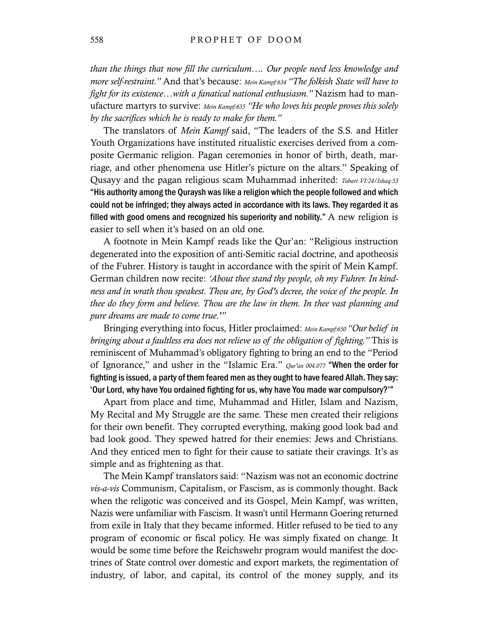*than the things that now fill the curriculum…. Our people need less knowledge and more self-restraint."* And that's because: *Mein Kampf:634 "The folkish State will have to fight for its existence…with a fanatical national enthusiasm."* Nazism had to manufacture martyrs to survive: *Mein Kampf:635 "He who loves his people proves this solely by the sacrifices which he is ready to make for them."*

The translators of *Mein Kampf* said, "The leaders of the S.S. and Hitler Youth Organizations have instituted ritualistic exercises derived from a composite Germanic religion. Pagan ceremonies in honor of birth, death, marriage, and other phenomena use Hitler's picture on the altars." Speaking of Qusayy and the pagan religious scam Muhammad inherited: *Tabari VI:24/Ishaq:53* "His authority among the Quraysh was like a religion which the people followed and which could not be infringed; they always acted in accordance with its laws. They regarded it as filled with good omens and recognized his superiority and nobility." A new religion is easier to sell when it's based on an old one.

A footnote in Mein Kampf reads like the Qur'an: "Religious instruction degenerated into the exposition of anti-Semitic racial doctrine, and apotheosis of the Fuhrer. History is taught in accordance with the spirit of Mein Kampf. German children now recite: *'About thee stand thy people, oh my Fuhrer. In kindness and in wrath thou speakest. Thou are, by God's decree, the voice of the people. In thee do they form and believe. Thou are the law in them. In thee vast planning and pure dreams are made to come true.'"*

Bringing everything into focus, Hitler proclaimed: *Mein Kampf:650 "Our belief in bringing about a faultless era does not relieve us of the obligation of fighting."* This is reminiscent of Muhammad's obligatory fighting to bring an end to the "Period of Ignorance," and usher in the "Islamic Era." *Qur'an 004.077* "When the order for fighting is issued, a party of them feared men as they ought to have feared Allah. They say: 'Our Lord, why have You ordained fighting for us, why have You made war compulsory?'"

Apart from place and time, Muhammad and Hitler, Islam and Nazism, My Recital and My Struggle are the same. These men created their religions for their own benefit. They corrupted everything, making good look bad and bad look good. They spewed hatred for their enemies: Jews and Christians. And they enticed men to fight for their cause to satiate their cravings. It's as simple and as frightening as that.

The Mein Kampf translators said: "Nazism was not an economic doctrine *vis-a-vis* Communism, Capitalism, or Fascism, as is commonly thought. Back when the religotic was conceived and its Gospel, Mein Kampf, was written, Nazis were unfamiliar with Fascism. It wasn't until Hermann Goering returned from exile in Italy that they became informed. Hitler refused to be tied to any program of economic or fiscal policy. He was simply fixated on change. It would be some time before the Reichswehr program would manifest the doctrines of State control over domestic and export markets, the regimentation of industry, of labor, and capital, its control of the money supply, and its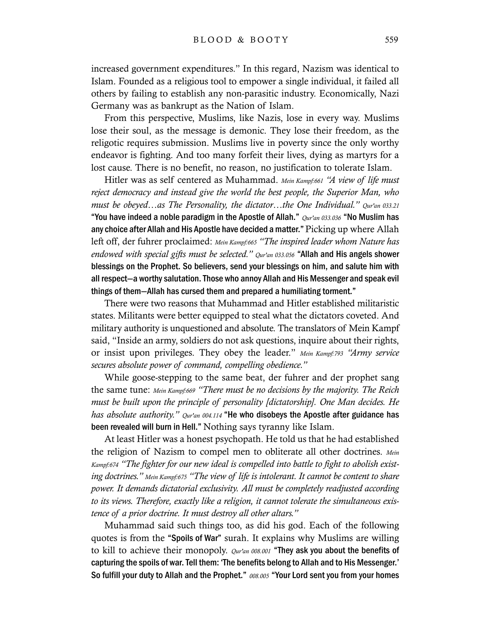increased government expenditures." In this regard, Nazism was identical to Islam. Founded as a religious tool to empower a single individual, it failed all others by failing to establish any non-parasitic industry. Economically, Nazi Germany was as bankrupt as the Nation of Islam.

From this perspective, Muslims, like Nazis, lose in every way. Muslims lose their soul, as the message is demonic. They lose their freedom, as the religotic requires submission. Muslims live in poverty since the only worthy endeavor is fighting. And too many forfeit their lives, dying as martyrs for a lost cause. There is no benefit, no reason, no justification to tolerate Islam.

Hitler was as self centered as Muhammad. *Mein Kampf:661 "A view of life must reject democracy and instead give the world the best people, the Superior Man, who must be obeyed…as The Personality, the dictator…the One Individual." Qur'an 033.21* "You have indeed a noble paradigm in the Apostle of Allah." *Qur'an 033.036* "No Muslim has any choice after Allah and His Apostle have decided a matter." Picking up where Allah left off, der fuhrer proclaimed: *Mein Kampf:665 "The inspired leader whom Nature has endowed with special gifts must be selected." Qur'an 033.056* "Allah and His angels shower blessings on the Prophet. So believers, send your blessings on him, and salute him with all respect—a worthy salutation. Those who annoy Allah and His Messenger and speak evil things of them—Allah has cursed them and prepared a humiliating torment."

There were two reasons that Muhammad and Hitler established militaristic states. Militants were better equipped to steal what the dictators coveted. And military authority is unquestioned and absolute. The translators of Mein Kampf said, "Inside an army, soldiers do not ask questions, inquire about their rights, or insist upon privileges. They obey the leader." *Mein Kampf:793 "Army service secures absolute power of command, compelling obedience."*

While goose-stepping to the same beat, der fuhrer and der prophet sang the same tune: *Mein Kampf:669 "There must be no decisions by the majority. The Reich must be built upon the principle of personality [dictatorship]. One Man decides. He has absolute authority." Qur'an 004.114* "He who disobeys the Apostle after guidance has been revealed will burn in Hell." Nothing says tyranny like Islam.

At least Hitler was a honest psychopath. He told us that he had established the religion of Nazism to compel men to obliterate all other doctrines. *Mein Kampf:674 "The fighter for our new ideal is compelled into battle to fight to abolish existing doctrines." Mein Kampf:675 "The view of life is intolerant. It cannot be content to share power. It demands dictatorial exclusivity. All must be completely readjusted according to its views. Therefore, exactly like a religion, it cannot tolerate the simultaneous existence of a prior doctrine. It must destroy all other altars."*

Muhammad said such things too, as did his god. Each of the following quotes is from the "Spoils of War" surah. It explains why Muslims are willing to kill to achieve their monopoly. *Qur'an 008.001* "They ask you about the benefits of capturing the spoils of war. Tell them: 'The benefits belong to Allah and to His Messenger.' So fulfill your duty to Allah and the Prophet." *008.005* "Your Lord sent you from your homes